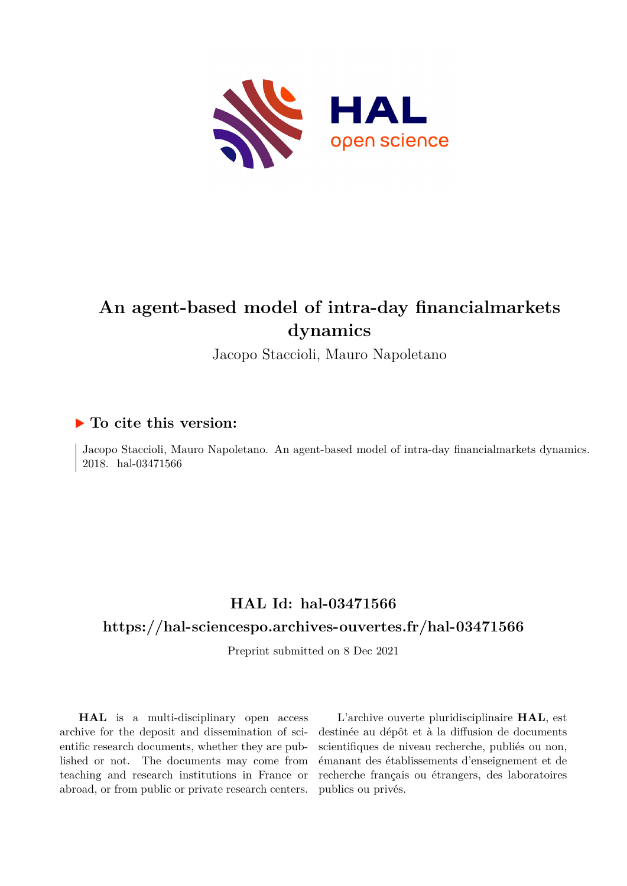

## **An agent-based model of intra-day financialmarkets dynamics**

Jacopo Staccioli, Mauro Napoletano

## **To cite this version:**

Jacopo Staccioli, Mauro Napoletano. An agent-based model of intra-day financialmarkets dynamics. 2018. hal-03471566

## **HAL Id: hal-03471566**

### **<https://hal-sciencespo.archives-ouvertes.fr/hal-03471566>**

Preprint submitted on 8 Dec 2021

**HAL** is a multi-disciplinary open access archive for the deposit and dissemination of scientific research documents, whether they are published or not. The documents may come from teaching and research institutions in France or abroad, or from public or private research centers.

L'archive ouverte pluridisciplinaire **HAL**, est destinée au dépôt et à la diffusion de documents scientifiques de niveau recherche, publiés ou non, émanant des établissements d'enseignement et de recherche français ou étrangers, des laboratoires publics ou privés.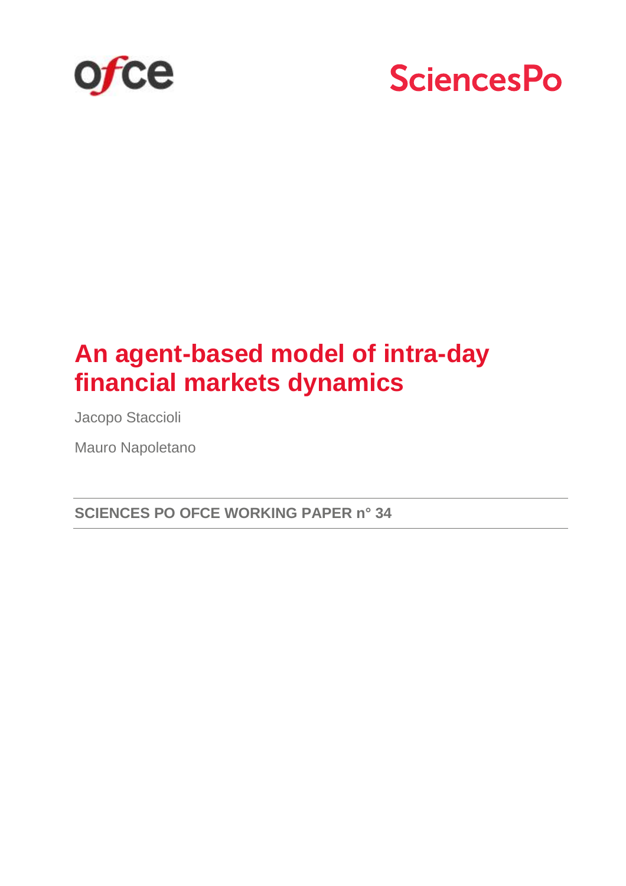



## **An agent-based model of intra-day financial markets dynamics**

Jacopo Staccioli

Mauro Napoletano

**SCIENCES PO OFCE WORKING PAPER n° 34**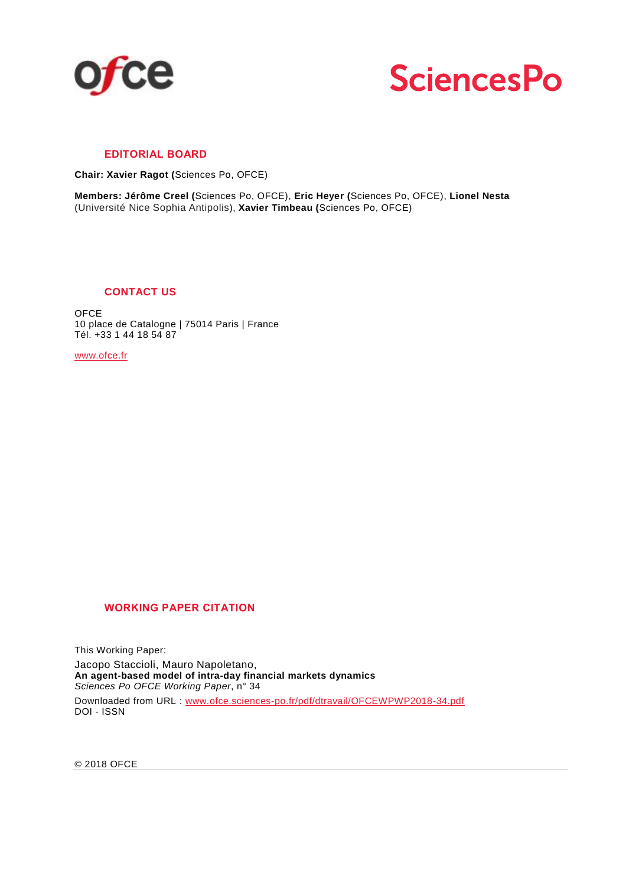



#### **EDITORIAL BOARD**

**Chair: Xavier Ragot (**Sciences Po, OFCE)

**Members: Jérôme Creel (**Sciences Po, OFCE), **Eric Heyer (**Sciences Po, OFCE), **Lionel Nesta** (Université Nice Sophia Antipolis), **Xavier Timbeau (**Sciences Po, OFCE)

#### **CONTACT US**

**OFCE** 10 place de Catalogne | 75014 Paris | France Tél. +33 1 44 18 54 87

[www.ofce.fr](http://www.ofce.fr/)

#### **WORKING PAPER CITATION**

This Working Paper: Jacopo Staccioli, Mauro Napoletano, **An agent-based model of intra-day financial markets dynamics** *Sciences Po OFCE Working Paper*, n° 34 Downloaded from URL : [www.ofce.sciences-po.fr/pdf/dtravail/OFCEWPWP2018-34.pdf](http://www.ofce.sciences-po.fr/pdf/dtravail/OFCEWPWP2018-34.pdf) DOI - ISSN

© 2018 OFCE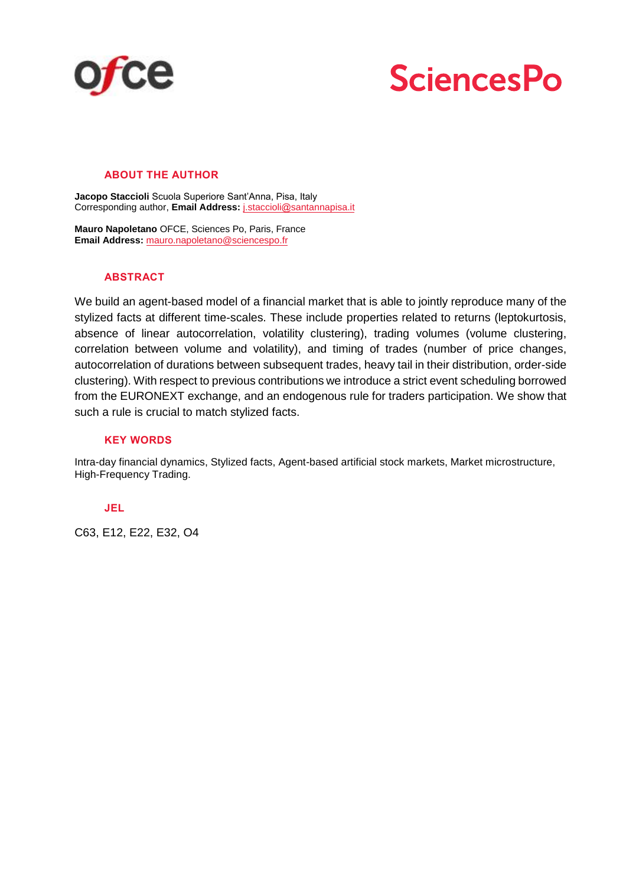

# **SciencesPo**

#### **ABOUT THE AUTHOR**

**Jacopo Staccioli** Scuola Superiore Sant'Anna, Pisa, Italy Corresponding author, **Email Address:** j.staccioli@santannapisa.it

**Mauro Napoletano** OFCE, Sciences Po, Paris, France **Email Address:** [mauro.napoletano@sciencespo.fr](mailto:mauro.napoletano@sciencespo.fr)

#### **ABSTRACT**

We build an agent-based model of a financial market that is able to jointly reproduce many of the stylized facts at different time-scales. These include properties related to returns (leptokurtosis, absence of linear autocorrelation, volatility clustering), trading volumes (volume clustering, correlation between volume and volatility), and timing of trades (number of price changes, autocorrelation of durations between subsequent trades, heavy tail in their distribution, order-side clustering). With respect to previous contributions we introduce a strict event scheduling borrowed from the EURONEXT exchange, and an endogenous rule for traders participation. We show that such a rule is crucial to match stylized facts.

#### **KEY WORDS**

Intra-day financial dynamics, Stylized facts, Agent-based artificial stock markets, Market microstructure, High-Frequency Trading.

**JEL**

C63, E12, E22, E32, O4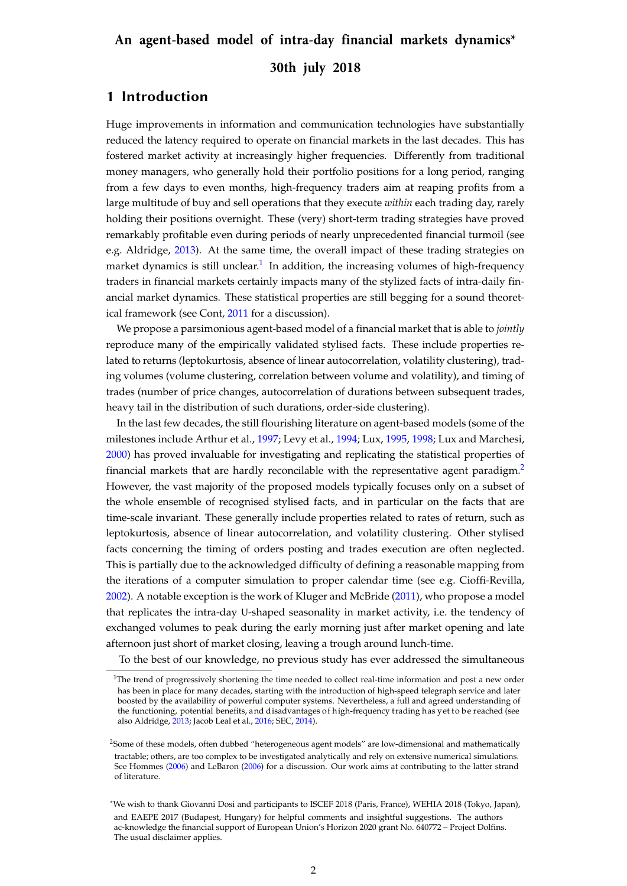#### **An agent-based model of intra-day financial markets dynamics\***

#### **30th july 2018**

#### 1 Introduction

Huge improvements in information and communication technologies have substantially reduced the latency required to operate on financial markets in the last decades. This has fostered market activity at increasingly higher frequencies. Differently from traditional money managers, who generally hold their portfolio positions for a long period, ranging from a few days to even months, high-frequency traders aim at reaping profits from a large multitude of buy and sell operations that they execute *within* each trading day, rarely holding their positions overnight. These (very) short-term trading strategies have proved remarkably profitable even during periods of nearly unprecedented financial turmoil (see e.g. Aldridge, 2013). At the same time, the overall impact of these trading strategies on market dynamics is still unclear.<sup>1</sup> In addition, the increasing volumes of high-frequency traders in financial markets certainly impacts many of the stylized facts of intra-daily financial market dynamics. These statistical properties are still begging for a sound theoretical framework (see Cont, 2011 for a discussion).

We propose a parsimonious agent-based model of a financial market that is able to *jointly* reproduce many of the empirically validated stylised facts. These include properties related to returns (leptokurtosis, absence of linear autocorrelation, volatility clustering), trading volumes (volume clustering, correlation between volume and volatility), and timing of trades (number of price changes, autocorrelation of durations between subsequent trades, heavy tail in the distribution of such durations, order-side clustering).

In the last few decades, the still flourishing literature on agent-based models (some of the milestones include Arthur et al., 1997; Levy et al., 1994; Lux, 1995, 1998; Lux and Marchesi, 2000) has proved invaluable for investigating and replicating the statistical properties of financial markets that are hardly reconcilable with the representative agent paradigm.<sup>2</sup> However, the vast majority of the proposed models typically focuses only on a subset of the whole ensemble of recognised stylised facts, and in particular on the facts that are time-scale invariant. These generally include properties related to rates of return, such as leptokurtosis, absence of linear autocorrelation, and volatility clustering. Other stylised facts concerning the timing of orders posting and trades execution are often neglected. This is partially due to the acknowledged difficulty of defining a reasonable mapping from the iterations of a computer simulation to proper calendar time (see e.g. Cioffi-Revilla, 2002). A notable exception is the work of Kluger and McBride (2011), who propose a model that replicates the intra-day U-shaped seasonality in market activity, i.e. the tendency of exchanged volumes to peak during the early morning just after market opening and late afternoon just short of market closing, leaving a trough around lunch-time.

To the best of our knowledge, no previous study has ever addressed the simultaneous

<sup>&</sup>lt;sup>1</sup>The trend of progressively shortening the time needed to collect real-time information and post a new order has been in place for many decades, starting with the introduction of high-speed telegraph service and later boosted by the availability of powerful computer systems. Nevertheless, a full and agreed understanding of the functioning, potential benefits, and disadvantages of high-frequency trading has yet to be reached (see also Aldridge, 2013; Jacob Leal et al., 2016; SEC, 2014).

<sup>2</sup>Some of these models, often dubbed "heterogeneous agent models" are low-dimensional and mathematically tractable; others, are too complex to be investigated analytically and rely on extensive numerical simulations. See Hommes (2006) and LeBaron (2006) for a discussion. Our work aims at contributing to the latter strand of literature.

<sup>\*</sup>We wish to thank Giovanni Dosi and participants to ISCEF 2018 (Paris, France), WEHIA 2018 (Tokyo, Japan), and EAEPE 2017 (Budapest, Hungary) for helpful comments and insightful suggestions. The authors ac-knowledge the financial support of European Union's Horizon 2020 grant No. 640772 – Project Dolfins. The usual disclaimer applies.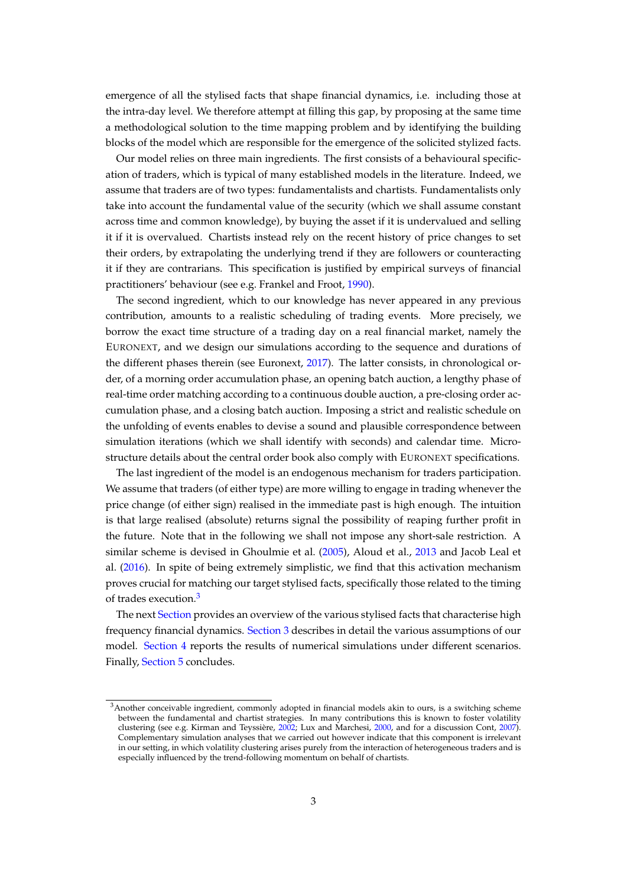emergence of all the stylised facts that shape financial dynamics, i.e. including those at the intra-day level. We therefore attempt at filling this gap, by proposing at the same time a methodological solution to the time mapping problem and by identifying the building blocks of the model which are responsible for the emergence of the solicited stylized facts.

Our model relies on three main ingredients. The first consists of a behavioural specification of traders, which is typical of many established models in the literature. Indeed, we assume that traders are of two types: fundamentalists and chartists. Fundamentalists only take into account the fundamental value of the security (which we shall assume constant across time and common knowledge), by buying the asset if it is undervalued and selling it if it is overvalued. Chartists instead rely on the recent history of price changes to set their orders, by extrapolating the underlying trend if they are followers or counteracting it if they are contrarians. This specification is justified by empirical surveys of financial practitioners' behaviour (see e.g. Frankel and Froot, 1990).

The second ingredient, which to our knowledge has never appeared in any previous contribution, amounts to a realistic scheduling of trading events. More precisely, we borrow the exact time structure of a trading day on a real financial market, namely the EURONEXT, and we design our simulations according to the sequence and durations of the different phases therein (see Euronext, 2017). The latter consists, in chronological order, of a morning order accumulation phase, an opening batch auction, a lengthy phase of real-time order matching according to a continuous double auction, a pre-closing order accumulation phase, and a closing batch auction. Imposing a strict and realistic schedule on the unfolding of events enables to devise a sound and plausible correspondence between simulation iterations (which we shall identify with seconds) and calendar time. Microstructure details about the central order book also comply with EURONEXT specifications.

The last ingredient of the model is an endogenous mechanism for traders participation. We assume that traders (of either type) are more willing to engage in trading whenever the price change (of either sign) realised in the immediate past is high enough. The intuition is that large realised (absolute) returns signal the possibility of reaping further profit in the future. Note that in the following we shall not impose any short-sale restriction. A similar scheme is devised in Ghoulmie et al. (2005), Aloud et al., 2013 and Jacob Leal et al. (2016). In spite of being extremely simplistic, we find that this activation mechanism proves crucial for matching our target stylised facts, specifically those related to the timing of trades execution.<sup>3</sup>

The next Section provides an overview of the various stylised facts that characterise high frequency financial dynamics. Section 3 describes in detail the various assumptions of our model. Section 4 reports the results of numerical simulations under different scenarios. Finally, Section 5 concludes.

<sup>&</sup>lt;sup>3</sup> Another conceivable ingredient, commonly adopted in financial models akin to ours, is a switching scheme between the fundamental and chartist strategies. In many contributions this is known to foster volatility clustering (see e.g. Kirman and Teyssière, 2002; Lux and Marchesi, 2000, and for a discussion Cont, 2007). Complementary simulation analyses that we carried out however indicate that this component is irrelevant in our setting, in which volatility clustering arises purely from the interaction of heterogeneous traders and is especially influenced by the trend-following momentum on behalf of chartists.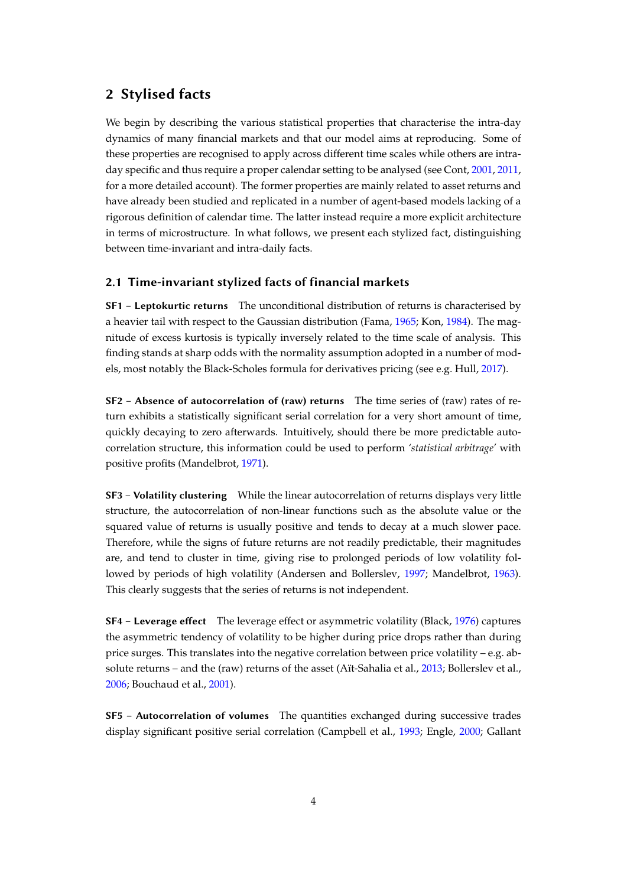#### 2 Stylised facts

We begin by describing the various statistical properties that characterise the intra-day dynamics of many financial markets and that our model aims at reproducing. Some of these properties are recognised to apply across different time scales while others are intraday specific and thus require a proper calendar setting to be analysed (see Cont, 2001, 2011, for a more detailed account). The former properties are mainly related to asset returns and have already been studied and replicated in a number of agent-based models lacking of a rigorous definition of calendar time. The latter instead require a more explicit architecture in terms of microstructure. In what follows, we present each stylized fact, distinguishing between time-invariant and intra-daily facts.

#### 2.1 Time-invariant stylized facts of financial markets

SF1 – Leptokurtic returns The unconditional distribution of returns is characterised by a heavier tail with respect to the Gaussian distribution (Fama, 1965; Kon, 1984). The magnitude of excess kurtosis is typically inversely related to the time scale of analysis. This finding stands at sharp odds with the normality assumption adopted in a number of models, most notably the Black-Scholes formula for derivatives pricing (see e.g. Hull, 2017).

SF2 – Absence of autocorrelation of (raw) returns The time series of (raw) rates of return exhibits a statistically significant serial correlation for a very short amount of time, quickly decaying to zero afterwards. Intuitively, should there be more predictable autocorrelation structure, this information could be used to perform *'statistical arbitrage'* with positive profits (Mandelbrot, 1971).

SF3 – Volatility clustering While the linear autocorrelation of returns displays very little structure, the autocorrelation of non-linear functions such as the absolute value or the squared value of returns is usually positive and tends to decay at a much slower pace. Therefore, while the signs of future returns are not readily predictable, their magnitudes are, and tend to cluster in time, giving rise to prolonged periods of low volatility followed by periods of high volatility (Andersen and Bollerslev, 1997; Mandelbrot, 1963). This clearly suggests that the series of returns is not independent.

SF4 – Leverage effect The leverage effect or asymmetric volatility (Black, 1976) captures the asymmetric tendency of volatility to be higher during price drops rather than during price surges. This translates into the negative correlation between price volatility – e.g. absolute returns – and the (raw) returns of the asset (Aït-Sahalia et al., 2013; Bollerslev et al., 2006; Bouchaud et al., 2001).

SF5 – Autocorrelation of volumes The quantities exchanged during successive trades display significant positive serial correlation (Campbell et al., 1993; Engle, 2000; Gallant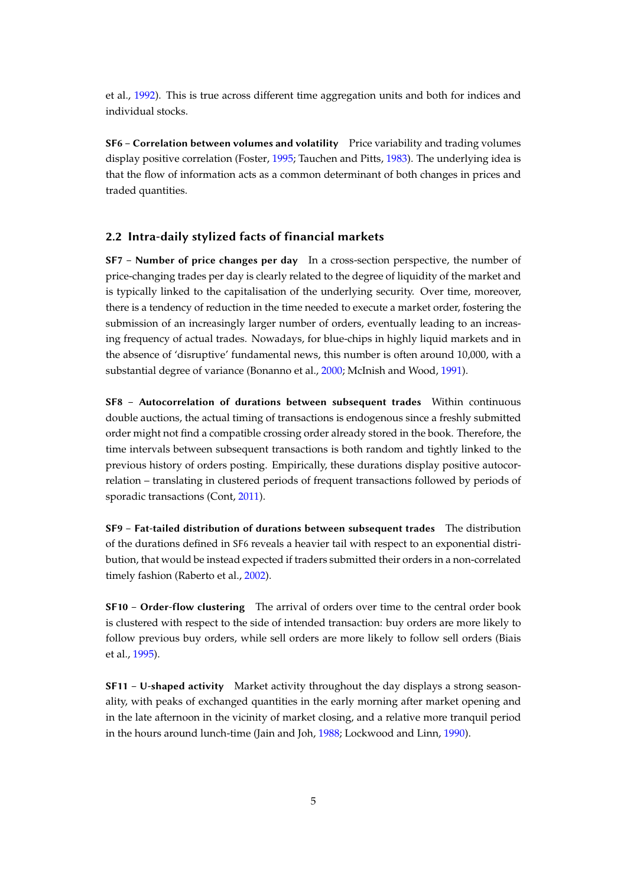et al., 1992). This is true across different time aggregation units and both for indices and individual stocks.

SF6 – Correlation between volumes and volatility Price variability and trading volumes display positive correlation (Foster, 1995; Tauchen and Pitts, 1983). The underlying idea is that the flow of information acts as a common determinant of both changes in prices and traded quantities.

#### 2.2 Intra-daily stylized facts of financial markets

SF7 – Number of price changes per day In a cross-section perspective, the number of price-changing trades per day is clearly related to the degree of liquidity of the market and is typically linked to the capitalisation of the underlying security. Over time, moreover, there is a tendency of reduction in the time needed to execute a market order, fostering the submission of an increasingly larger number of orders, eventually leading to an increasing frequency of actual trades. Nowadays, for blue-chips in highly liquid markets and in the absence of 'disruptive' fundamental news, this number is often around 10,000, with a substantial degree of variance (Bonanno et al., 2000; McInish and Wood, 1991).

SF8 – Autocorrelation of durations between subsequent trades Within continuous double auctions, the actual timing of transactions is endogenous since a freshly submitted order might not find a compatible crossing order already stored in the book. Therefore, the time intervals between subsequent transactions is both random and tightly linked to the previous history of orders posting. Empirically, these durations display positive autocorrelation – translating in clustered periods of frequent transactions followed by periods of sporadic transactions (Cont, 2011).

SF9 – Fat-tailed distribution of durations between subsequent trades The distribution of the durations defined in SF6 reveals a heavier tail with respect to an exponential distribution, that would be instead expected if traders submitted their orders in a non-correlated timely fashion (Raberto et al., 2002).

SF10 – Order-flow clustering The arrival of orders over time to the central order book is clustered with respect to the side of intended transaction: buy orders are more likely to follow previous buy orders, while sell orders are more likely to follow sell orders (Biais et al., 1995).

SF11 – U-shaped activity Market activity throughout the day displays a strong seasonality, with peaks of exchanged quantities in the early morning after market opening and in the late afternoon in the vicinity of market closing, and a relative more tranquil period in the hours around lunch-time (Jain and Joh, 1988; Lockwood and Linn, 1990).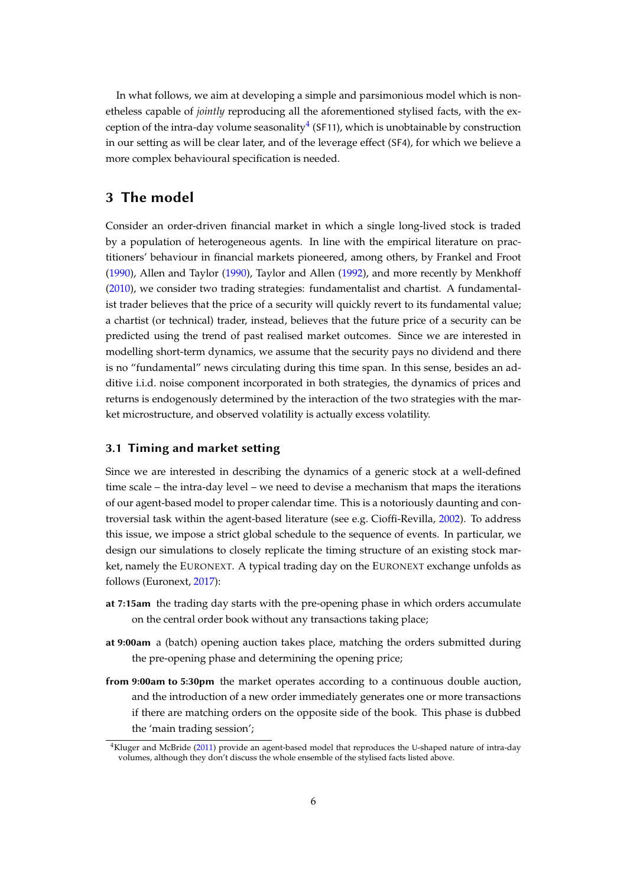In what follows, we aim at developing a simple and parsimonious model which is nonetheless capable of *jointly* reproducing all the aforementioned stylised facts, with the exception of the intra-day volume seasonality $^4$  (SF11), which is unobtainable by construction in our setting as will be clear later, and of the leverage effect (SF4), for which we believe a more complex behavioural specification is needed.

#### 3 The model

Consider an order-driven financial market in which a single long-lived stock is traded by a population of heterogeneous agents. In line with the empirical literature on practitioners' behaviour in financial markets pioneered, among others, by Frankel and Froot (1990), Allen and Taylor (1990), Taylor and Allen (1992), and more recently by Menkhoff (2010), we consider two trading strategies: fundamentalist and chartist. A fundamentalist trader believes that the price of a security will quickly revert to its fundamental value; a chartist (or technical) trader, instead, believes that the future price of a security can be predicted using the trend of past realised market outcomes. Since we are interested in modelling short-term dynamics, we assume that the security pays no dividend and there is no "fundamental" news circulating during this time span. In this sense, besides an additive i.i.d. noise component incorporated in both strategies, the dynamics of prices and returns is endogenously determined by the interaction of the two strategies with the market microstructure, and observed volatility is actually excess volatility.

#### 3.1 Timing and market setting

Since we are interested in describing the dynamics of a generic stock at a well-defined time scale – the intra-day level – we need to devise a mechanism that maps the iterations of our agent-based model to proper calendar time. This is a notoriously daunting and controversial task within the agent-based literature (see e.g. Cioffi-Revilla, 2002). To address this issue, we impose a strict global schedule to the sequence of events. In particular, we design our simulations to closely replicate the timing structure of an existing stock market, namely the EURONEXT. A typical trading day on the EURONEXT exchange unfolds as follows (Euronext, 2017):

- at 7:15am the trading day starts with the pre-opening phase in which orders accumulate on the central order book without any transactions taking place;
- at 9:00am a (batch) opening auction takes place, matching the orders submitted during the pre-opening phase and determining the opening price;
- from 9:00am to 5:30pm the market operates according to a continuous double auction, and the introduction of a new order immediately generates one or more transactions if there are matching orders on the opposite side of the book. This phase is dubbed the 'main trading session';

<sup>4</sup>Kluger and McBride (2011) provide an agent-based model that reproduces the U-shaped nature of intra-day volumes, although they don't discuss the whole ensemble of the stylised facts listed above.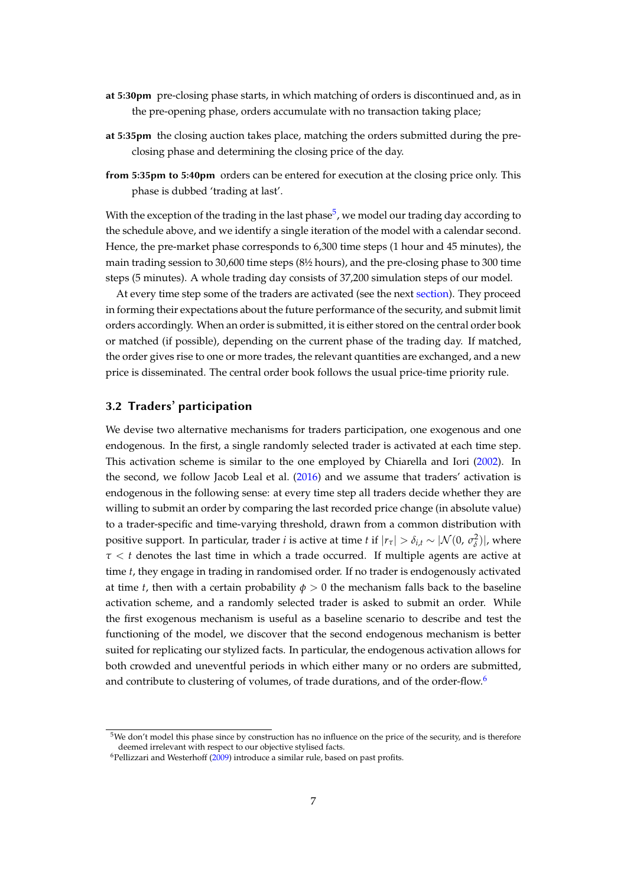- at 5:30pm pre-closing phase starts, in which matching of orders is discontinued and, as in the pre-opening phase, orders accumulate with no transaction taking place;
- at 5:35pm the closing auction takes place, matching the orders submitted during the preclosing phase and determining the closing price of the day.
- from 5:35pm to 5:40pm orders can be entered for execution at the closing price only. This phase is dubbed 'trading at last'.

With the exception of the trading in the last phase<sup>5</sup>, we model our trading day according to the schedule above, and we identify a single iteration of the model with a calendar second. Hence, the pre-market phase corresponds to 6,300 time steps (1 hour and 45 minutes), the main trading session to 30,600 time steps (8½ hours), and the pre-closing phase to 300 time steps (5 minutes). A whole trading day consists of 37,200 simulation steps of our model.

At every time step some of the traders are activated (see the next section). They proceed in forming their expectations about the future performance of the security, and submit limit orders accordingly. When an order is submitted, it is either stored on the central order book or matched (if possible), depending on the current phase of the trading day. If matched, the order gives rise to one or more trades, the relevant quantities are exchanged, and a new price is disseminated. The central order book follows the usual price-time priority rule.

#### 3.2 Traders' participation

We devise two alternative mechanisms for traders participation, one exogenous and one endogenous. In the first, a single randomly selected trader is activated at each time step. This activation scheme is similar to the one employed by Chiarella and Iori (2002). In the second, we follow Jacob Leal et al. (2016) and we assume that traders' activation is endogenous in the following sense: at every time step all traders decide whether they are willing to submit an order by comparing the last recorded price change (in absolute value) to a trader-specific and time-varying threshold, drawn from a common distribution with positive support. In particular, trader *i* is active at time *t* if  $|r_{\tau}| > \delta_{i,t} \sim |\mathcal{N}(0, \sigma_{\delta}^2)|$ , where *τ* < *t* denotes the last time in which a trade occurred. If multiple agents are active at time *t*, they engage in trading in randomised order. If no trader is endogenously activated at time *t*, then with a certain probability  $\phi > 0$  the mechanism falls back to the baseline activation scheme, and a randomly selected trader is asked to submit an order. While the first exogenous mechanism is useful as a baseline scenario to describe and test the functioning of the model, we discover that the second endogenous mechanism is better suited for replicating our stylized facts. In particular, the endogenous activation allows for both crowded and uneventful periods in which either many or no orders are submitted, and contribute to clustering of volumes, of trade durations, and of the order-flow.6

<sup>5</sup>We don't model this phase since by construction has no influence on the price of the security, and is therefore deemed irrelevant with respect to our objective stylised facts.

 $6$ Pellizzari and Westerhoff (2009) introduce a similar rule, based on past profits.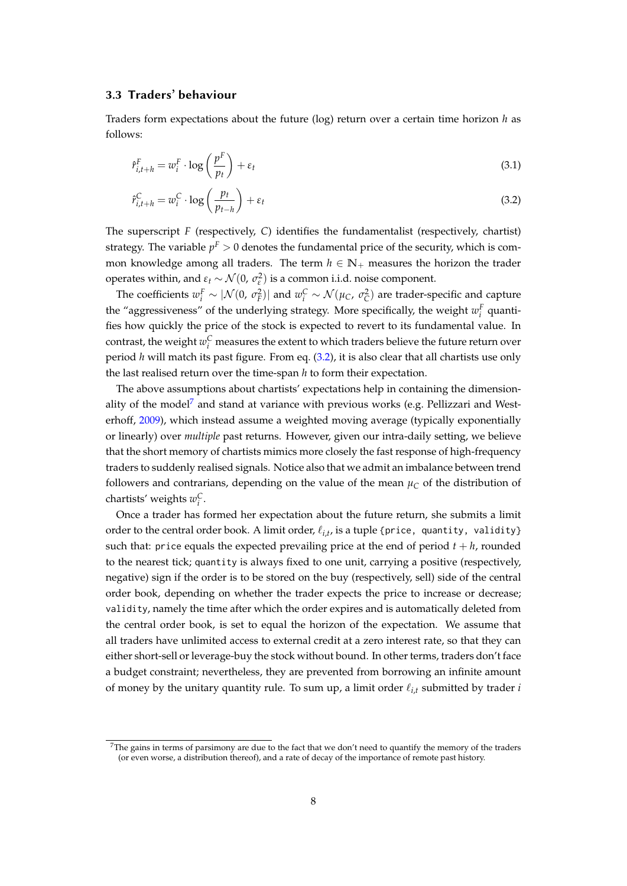#### 3.3 Traders' behaviour

Traders form expectations about the future (log) return over a certain time horizon *h* as follows:

$$
\hat{r}_{i,t+h}^F = w_i^F \cdot \log\left(\frac{p^F}{p_t}\right) + \varepsilon_t \tag{3.1}
$$

$$
\hat{r}_{i,t+h}^C = w_i^C \cdot \log\left(\frac{p_t}{p_{t-h}}\right) + \varepsilon_t \tag{3.2}
$$

The superscript *F* (respectively, *C*) identifies the fundamentalist (respectively, chartist) strategy. The variable  $p^F > 0$  denotes the fundamental price of the security, which is common knowledge among all traders. The term  $h \in \mathbb{N}_+$  measures the horizon the trader operates within, and  $\varepsilon_t \sim \mathcal{N}(0, \sigma_{\varepsilon}^2)$  is a common i.i.d. noise component.

The coefficients  $w_i^F \sim |\mathcal{N}(0, \sigma_F^2)|$  and  $w_i^C \sim \mathcal{N}(\mu_C, \sigma_C^2)$  are trader-specific and capture the "aggressiveness" of the underlying strategy. More specifically, the weight  $w_i^F$  quantifies how quickly the price of the stock is expected to revert to its fundamental value. In contrast, the weight  $w_i^C$  measures the extent to which traders believe the future return over period *h* will match its past figure. From eq. (3.2), it is also clear that all chartists use only the last realised return over the time-span *h* to form their expectation.

The above assumptions about chartists' expectations help in containing the dimensionality of the model<sup>7</sup> and stand at variance with previous works (e.g. Pellizzari and Westerhoff, 2009), which instead assume a weighted moving average (typically exponentially or linearly) over *multiple* past returns. However, given our intra-daily setting, we believe that the short memory of chartists mimics more closely the fast response of high-frequency traders to suddenly realised signals. Notice also that we admit an imbalance between trend followers and contrarians, depending on the value of the mean  $\mu_C$  of the distribution of chartists' weights  $w_i^C$ .

Once a trader has formed her expectation about the future return, she submits a limit order to the central order book. A limit order,  $\ell_{i,t}$ , is a tuple {price, quantity, validity} such that: price equals the expected prevailing price at the end of period  $t + h$ , rounded to the nearest tick; quantity is always fixed to one unit, carrying a positive (respectively, negative) sign if the order is to be stored on the buy (respectively, sell) side of the central order book, depending on whether the trader expects the price to increase or decrease; validity, namely the time after which the order expires and is automatically deleted from the central order book, is set to equal the horizon of the expectation. We assume that all traders have unlimited access to external credit at a zero interest rate, so that they can either short-sell or leverage-buy the stock without bound. In other terms, traders don't face a budget constraint; nevertheless, they are prevented from borrowing an infinite amount of money by the unitary quantity rule. To sum up, a limit order  $\ell_{i,t}$  submitted by trader *i* 

<sup>&</sup>lt;sup>7</sup>The gains in terms of parsimony are due to the fact that we don't need to quantify the memory of the traders (or even worse, a distribution thereof), and a rate of decay of the importance of remote past history.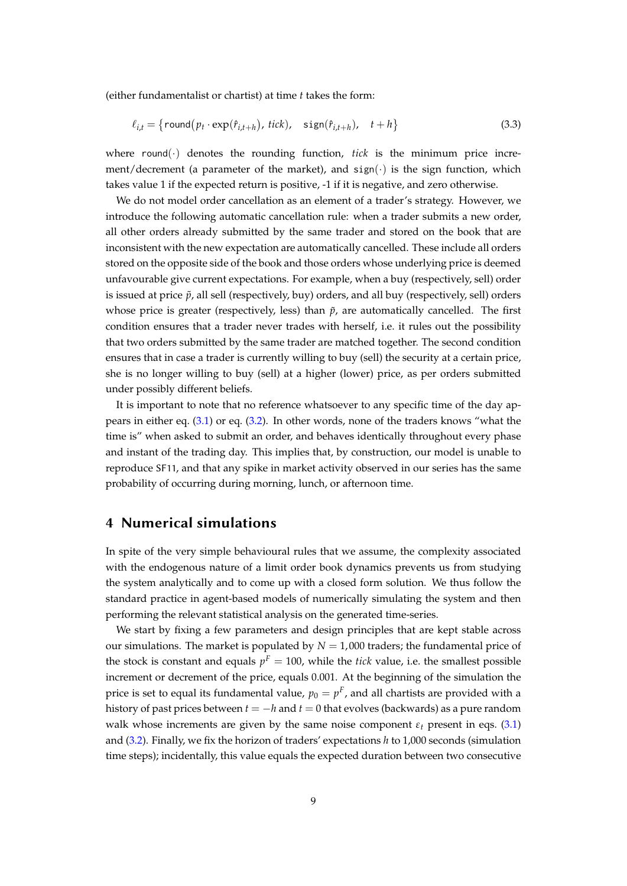(either fundamentalist or chartist) at time *t* takes the form:

$$
\ell_{i,t} = \{ \text{round}(p_t \cdot \exp(\hat{r}_{i,t+h}), \text{tick}), \text{ sign}(\hat{r}_{i,t+h}), t+h \}
$$
(3.3)

where round( $\cdot$ ) denotes the rounding function, *tick* is the minimum price increment/decrement (a parameter of the market), and  $sign(\cdot)$  is the sign function, which takes value 1 if the expected return is positive, -1 if it is negative, and zero otherwise.

We do not model order cancellation as an element of a trader's strategy. However, we introduce the following automatic cancellation rule: when a trader submits a new order, all other orders already submitted by the same trader and stored on the book that are inconsistent with the new expectation are automatically cancelled. These include all orders stored on the opposite side of the book and those orders whose underlying price is deemed unfavourable give current expectations. For example, when a buy (respectively, sell) order is issued at price  $\tilde{p}$ , all sell (respectively, buy) orders, and all buy (respectively, sell) orders whose price is greater (respectively, less) than  $\tilde{p}$ , are automatically cancelled. The first condition ensures that a trader never trades with herself, i.e. it rules out the possibility that two orders submitted by the same trader are matched together. The second condition ensures that in case a trader is currently willing to buy (sell) the security at a certain price, she is no longer willing to buy (sell) at a higher (lower) price, as per orders submitted under possibly different beliefs.

It is important to note that no reference whatsoever to any specific time of the day appears in either eq. (3.1) or eq. (3.2). In other words, none of the traders knows "what the time is" when asked to submit an order, and behaves identically throughout every phase and instant of the trading day. This implies that, by construction, our model is unable to reproduce SF11, and that any spike in market activity observed in our series has the same probability of occurring during morning, lunch, or afternoon time.

#### 4 Numerical simulations

In spite of the very simple behavioural rules that we assume, the complexity associated with the endogenous nature of a limit order book dynamics prevents us from studying the system analytically and to come up with a closed form solution. We thus follow the standard practice in agent-based models of numerically simulating the system and then performing the relevant statistical analysis on the generated time-series.

We start by fixing a few parameters and design principles that are kept stable across our simulations. The market is populated by  $N = 1,000$  traders; the fundamental price of the stock is constant and equals  $p^F = 100$ , while the *tick* value, i.e. the smallest possible increment or decrement of the price, equals 0.001. At the beginning of the simulation the price is set to equal its fundamental value,  $p_0 = p^F$ , and all chartists are provided with a history of past prices between *t* = −*h* and *t* = 0 that evolves (backwards) as a pure random walk whose increments are given by the same noise component  $\varepsilon_t$  present in eqs. (3.1) and (3.2). Finally, we fix the horizon of traders' expectations *h* to 1,000 seconds (simulation time steps); incidentally, this value equals the expected duration between two consecutive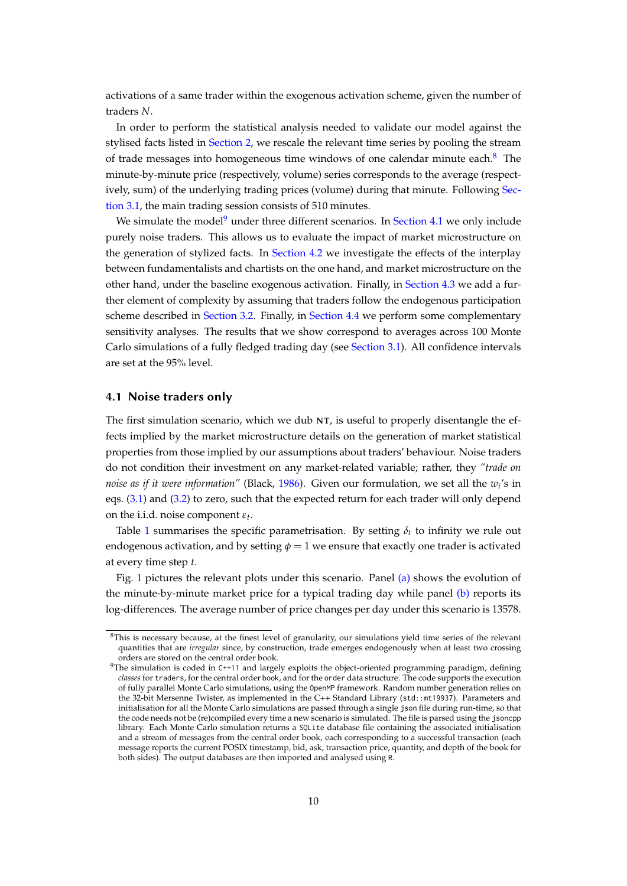activations of a same trader within the exogenous activation scheme, given the number of traders *N*.

In order to perform the statistical analysis needed to validate our model against the stylised facts listed in Section 2, we rescale the relevant time series by pooling the stream of trade messages into homogeneous time windows of one calendar minute each. $8$  The minute-by-minute price (respectively, volume) series corresponds to the average (respectively, sum) of the underlying trading prices (volume) during that minute. Following Section 3.1, the main trading session consists of 510 minutes.

We simulate the model<sup>9</sup> under three different scenarios. In Section 4.1 we only include purely noise traders. This allows us to evaluate the impact of market microstructure on the generation of stylized facts. In Section 4.2 we investigate the effects of the interplay between fundamentalists and chartists on the one hand, and market microstructure on the other hand, under the baseline exogenous activation. Finally, in Section 4.3 we add a further element of complexity by assuming that traders follow the endogenous participation scheme described in Section 3.2. Finally, in Section 4.4 we perform some complementary sensitivity analyses. The results that we show correspond to averages across 100 Monte Carlo simulations of a fully fledged trading day (see Section 3.1). All confidence intervals are set at the 95% level.

#### 4.1 Noise traders only

The first simulation scenario, which we dub **NT**, is useful to properly disentangle the effects implied by the market microstructure details on the generation of market statistical properties from those implied by our assumptions about traders' behaviour. Noise traders do not condition their investment on any market-related variable; rather, they *"trade on noise as if it were information"* (Black, 1986). Given our formulation, we set all the *w<sup>i</sup>* 's in eqs. (3.1) and (3.2) to zero, such that the expected return for each trader will only depend on the i.i.d. noise component  $\varepsilon_t$ .

Table 1 summarises the specific parametrisation. By setting  $\delta_t$  to infinity we rule out endogenous activation, and by setting  $\phi = 1$  we ensure that exactly one trader is activated at every time step *t*.

Fig. 1 pictures the relevant plots under this scenario. Panel (a) shows the evolution of the minute-by-minute market price for a typical trading day while panel (b) reports its log-differences. The average number of price changes per day under this scenario is 13578.

<sup>&</sup>lt;sup>8</sup>This is necessary because, at the finest level of granularity, our simulations yield time series of the relevant quantities that are *irregular* since, by construction, trade emerges endogenously when at least two crossing orders are stored on the central order book.

 $9$ The simulation is coded in C++11 and largely exploits the object-oriented programming paradigm, defining *classes*for traders, for the central order book, and for the order data structure. The code supports the execution of fully parallel Monte Carlo simulations, using the OpenMP framework. Random number generation relies on the 32-bit Mersenne Twister, as implemented in the C++ Standard Library (std::mt19937). Parameters and initialisation for all the Monte Carlo simulations are passed through a single json file during run-time, so that the code needs not be (re)compiled every time a new scenario is simulated. The file is parsed using the jsoncpp library. Each Monte Carlo simulation returns a SQLite database file containing the associated initialisation and a stream of messages from the central order book, each corresponding to a successful transaction (each message reports the current POSIX timestamp, bid, ask, transaction price, quantity, and depth of the book for both sides). The output databases are then imported and analysed using R.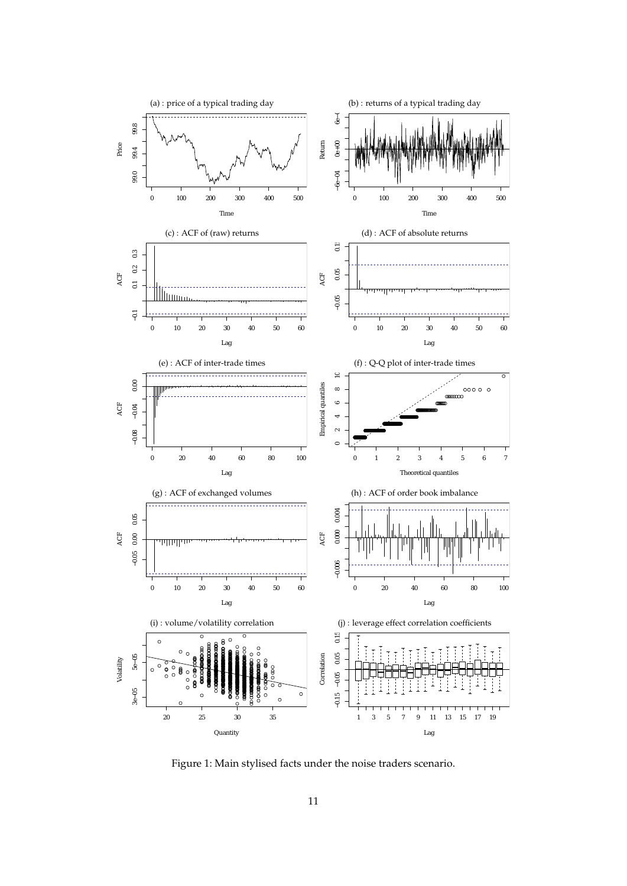

Figure 1: Main stylised facts under the noise traders scenario.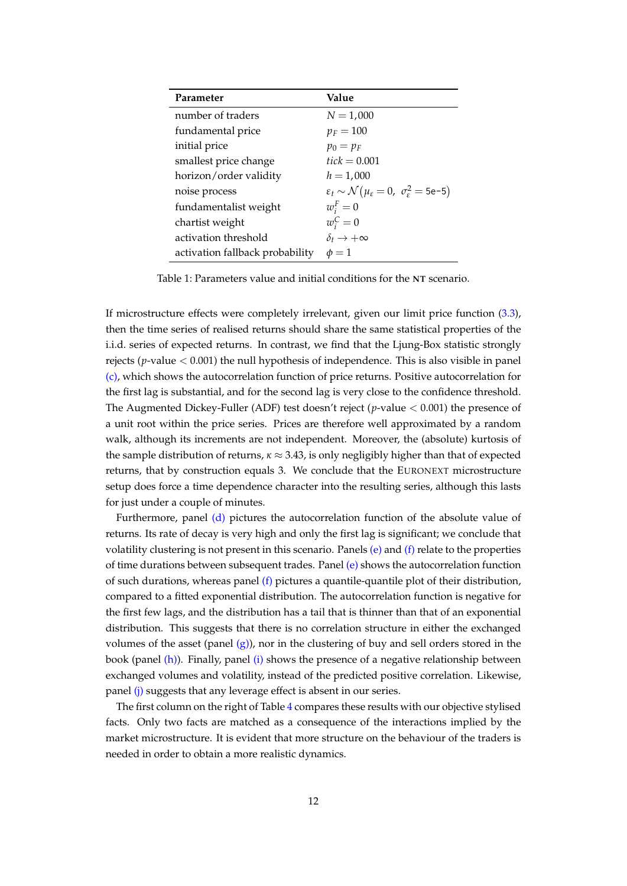| Parameter                       | Value                                                                                  |
|---------------------------------|----------------------------------------------------------------------------------------|
| number of traders               | $N = 1,000$                                                                            |
| fundamental price               | $p_F = 100$                                                                            |
| initial price                   | $p_0 = p_F$                                                                            |
| smallest price change           | $tick = 0.001$                                                                         |
| horizon/order validity          | $h = 1,000$                                                                            |
| noise process                   | $\varepsilon_t \sim \mathcal{N}(\mu_{\varepsilon} = 0, \sigma_{\varepsilon}^2 = 5e-5)$ |
| fundamentalist weight           | $w_i^F=0$                                                                              |
| chartist weight                 | $w_i^C=0$                                                                              |
| activation threshold            | $\delta_t \rightarrow +\infty$                                                         |
| activation fallback probability | $\phi=1$                                                                               |

Table 1: Parameters value and initial conditions for the **NT** scenario.

If microstructure effects were completely irrelevant, given our limit price function (3.3), then the time series of realised returns should share the same statistical properties of the i.i.d. series of expected returns. In contrast, we find that the Ljung-Box statistic strongly rejects (*p*-value < 0.001) the null hypothesis of independence. This is also visible in panel (c), which shows the autocorrelation function of price returns. Positive autocorrelation for the first lag is substantial, and for the second lag is very close to the confidence threshold. The Augmented Dickey-Fuller (ADF) test doesn't reject (*p*-value < 0.001) the presence of a unit root within the price series. Prices are therefore well approximated by a random walk, although its increments are not independent. Moreover, the (absolute) kurtosis of the sample distribution of returns,  $\kappa \approx 3.43$ , is only negligibly higher than that of expected returns, that by construction equals 3. We conclude that the EURONEXT microstructure setup does force a time dependence character into the resulting series, although this lasts for just under a couple of minutes.

Furthermore, panel (d) pictures the autocorrelation function of the absolute value of returns. Its rate of decay is very high and only the first lag is significant; we conclude that volatility clustering is not present in this scenario. Panels (e) and (f) relate to the properties of time durations between subsequent trades. Panel (e) shows the autocorrelation function of such durations, whereas panel (f) pictures a quantile-quantile plot of their distribution, compared to a fitted exponential distribution. The autocorrelation function is negative for the first few lags, and the distribution has a tail that is thinner than that of an exponential distribution. This suggests that there is no correlation structure in either the exchanged volumes of the asset (panel  $(g)$ ), nor in the clustering of buy and sell orders stored in the book (panel  $(h)$ ). Finally, panel (i) shows the presence of a negative relationship between exchanged volumes and volatility, instead of the predicted positive correlation. Likewise, panel (j) suggests that any leverage effect is absent in our series.

The first column on the right of Table 4 compares these results with our objective stylised facts. Only two facts are matched as a consequence of the interactions implied by the market microstructure. It is evident that more structure on the behaviour of the traders is needed in order to obtain a more realistic dynamics.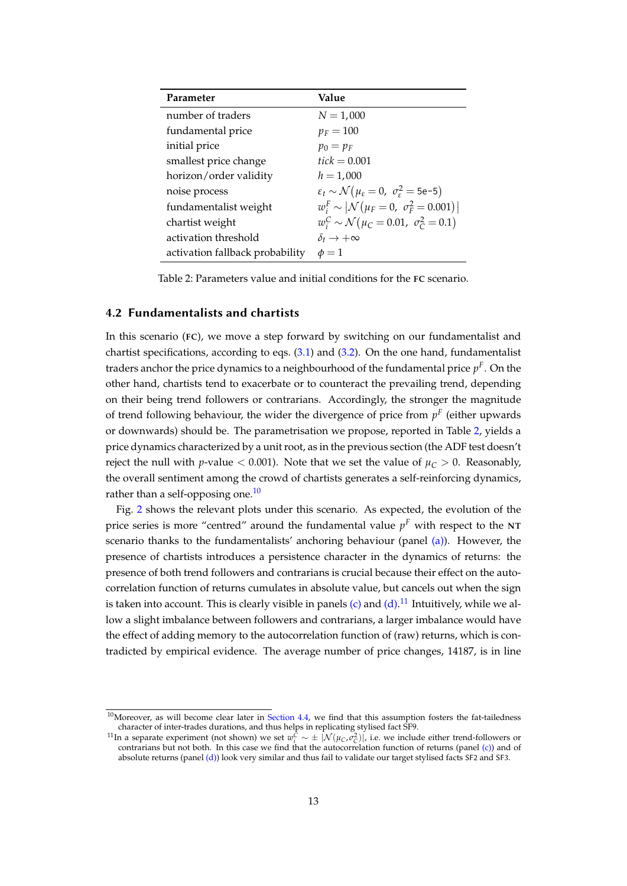| Parameter                       | Value                                                                                  |
|---------------------------------|----------------------------------------------------------------------------------------|
| number of traders               | $N = 1.000$                                                                            |
| fundamental price               | $p_F = 100$                                                                            |
| initial price                   | $p_0 = p_F$                                                                            |
| smallest price change           | $tick = 0.001$                                                                         |
| horizon/order validity          | $h = 1.000$                                                                            |
| noise process                   | $\varepsilon_t \sim \mathcal{N}(\mu_{\varepsilon} = 0, \sigma_{\varepsilon}^2 = 5e-5)$ |
| fundamentalist weight           | $w_i^F \sim  \mathcal{N}(\mu_F = 0, \sigma_F^2 = 0.001) $                              |
| chartist weight                 | $w_i^C \sim \mathcal{N}(\mu_C = 0.01, \sigma_C^2 = 0.1)$                               |
| activation threshold            | $\delta_t \rightarrow +\infty$                                                         |
| activation fallback probability | $\phi=1$                                                                               |

Table 2: Parameters value and initial conditions for the **FC** scenario.

#### 4.2 Fundamentalists and chartists

In this scenario (**FC**), we move a step forward by switching on our fundamentalist and chartist specifications, according to eqs. (3.1) and (3.2). On the one hand, fundamentalist traders anchor the price dynamics to a neighbourhood of the fundamental price *p F* . On the other hand, chartists tend to exacerbate or to counteract the prevailing trend, depending on their being trend followers or contrarians. Accordingly, the stronger the magnitude of trend following behaviour, the wider the divergence of price from *p F* (either upwards or downwards) should be. The parametrisation we propose, reported in Table 2, yields a price dynamics characterized by a unit root, as in the previous section (the ADF test doesn't reject the null with *p*-value < 0.001). Note that we set the value of  $\mu$ <sup>*C*</sup> > 0. Reasonably, the overall sentiment among the crowd of chartists generates a self-reinforcing dynamics, rather than a self-opposing one.<sup>10</sup>

Fig. 2 shows the relevant plots under this scenario. As expected, the evolution of the price series is more "centred" around the fundamental value *p <sup>F</sup>* with respect to the **NT** scenario thanks to the fundamentalists' anchoring behaviour (panel (a)). However, the presence of chartists introduces a persistence character in the dynamics of returns: the presence of both trend followers and contrarians is crucial because their effect on the autocorrelation function of returns cumulates in absolute value, but cancels out when the sign is taken into account. This is clearly visible in panels (c) and (d). $^{11}$  Intuitively, while we allow a slight imbalance between followers and contrarians, a larger imbalance would have the effect of adding memory to the autocorrelation function of (raw) returns, which is contradicted by empirical evidence. The average number of price changes, 14187, is in line

 $10$ Moreover, as will become clear later in Section 4.4, we find that this assumption fosters the fat-tailedness character of inter-trades durations, and thus helps in replicating stylised fact SF9.

<sup>&</sup>lt;sup>11</sup>In a separate experiment (not shown) we set  $w_i^C \sim \pm |\mathcal{N}(\mu_C, \sigma_C^2)|$ , i.e. we include either trend-followers or contrarians but not both. In this case we find that the autocorrelation function of returns (panel (c)) and of absolute returns (panel (d)) look very similar and thus fail to validate our target stylised facts SF2 and SF3.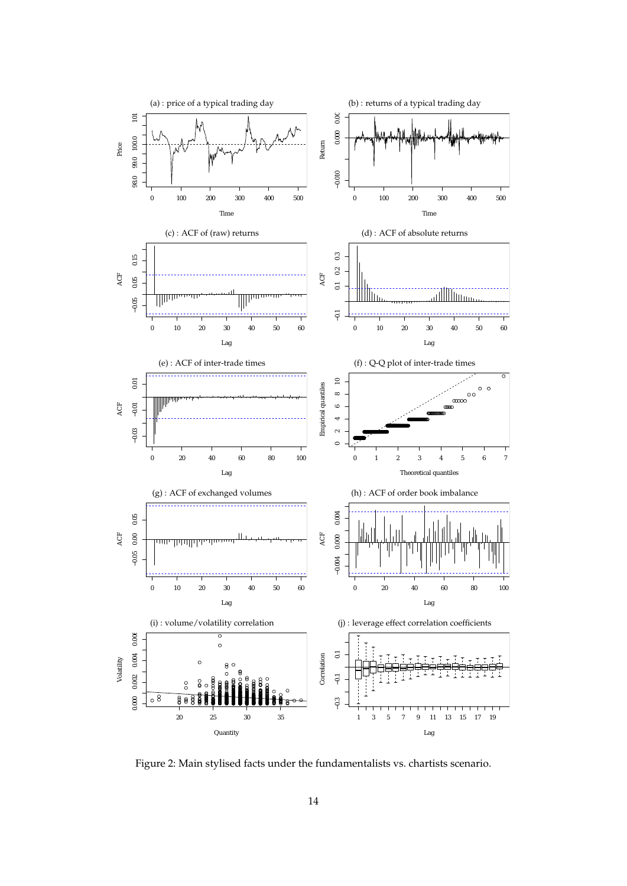

Figure 2: Main stylised facts under the fundamentalists vs. chartists scenario.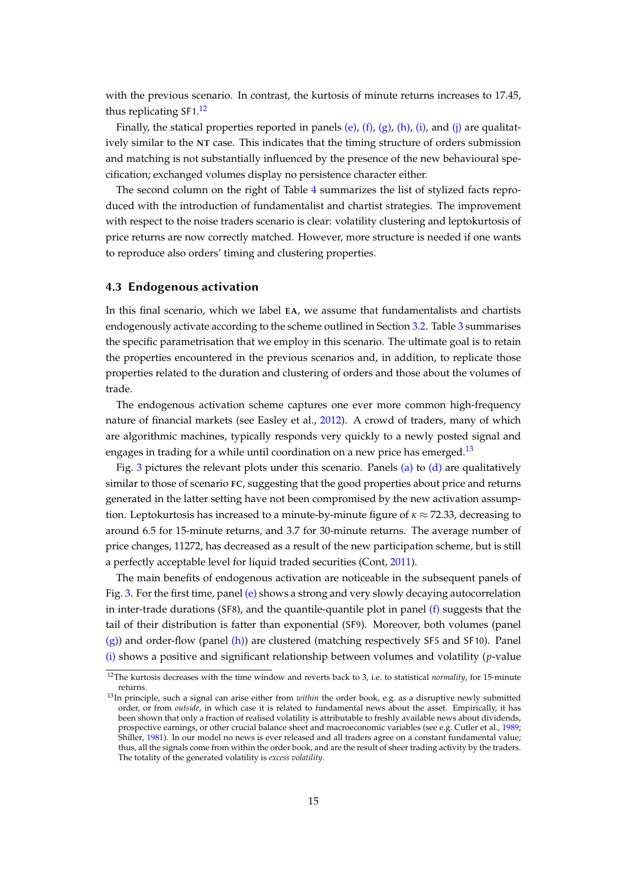with the previous scenario. In contrast, the kurtosis of minute returns increases to 17.45, thus replicating SF1.<sup>12</sup>

Finally, the statical properties reported in panels (e), (f), (g), (h), (i), and (j) are qualitatively similar to the **NT** case. This indicates that the timing structure of orders submission and matching is not substantially influenced by the presence of the new behavioural specification; exchanged volumes display no persistence character either.

The second column on the right of Table 4 summarizes the list of stylized facts reproduced with the introduction of fundamentalist and chartist strategies. The improvement with respect to the noise traders scenario is clear: volatility clustering and leptokurtosis of price returns are now correctly matched. However, more structure is needed if one wants to reproduce also orders' timing and clustering properties.

#### 4.3 Endogenous activation

In this final scenario, which we label **EA**, we assume that fundamentalists and chartists endogenously activate according to the scheme outlined in Section 3.2. Table 3 summarises the specific parametrisation that we employ in this scenario. The ultimate goal is to retain the properties encountered in the previous scenarios and, in addition, to replicate those properties related to the duration and clustering of orders and those about the volumes of trade.

The endogenous activation scheme captures one ever more common high-frequency nature of financial markets (see Easley et al., 2012). A crowd of traders, many of which are algorithmic machines, typically responds very quickly to a newly posted signal and engages in trading for a while until coordination on a new price has emerged.<sup>13</sup>

Fig. 3 pictures the relevant plots under this scenario. Panels (a) to (d) are qualitatively similar to those of scenario **FC**, suggesting that the good properties about price and returns generated in the latter setting have not been compromised by the new activation assumption. Leptokurtosis has increased to a minute-by-minute figure of *κ* ≈ 72.33, decreasing to around 6.5 for 15-minute returns, and 3.7 for 30-minute returns. The average number of price changes, 11272, has decreased as a result of the new participation scheme, but is still a perfectly acceptable level for liquid traded securities (Cont, 2011).

The main benefits of endogenous activation are noticeable in the subsequent panels of Fig. 3. For the first time, panel (e) shows a strong and very slowly decaying autocorrelation in inter-trade durations ( $SFR$ ), and the quantile-quantile plot in panel ( $f$ ) suggests that the tail of their distribution is fatter than exponential (SF9). Moreover, both volumes (panel  $(g)$ ) and order-flow (panel (h)) are clustered (matching respectively SF5 and SF10). Panel (i) shows a positive and significant relationship between volumes and volatility (*p*-value

<sup>12</sup>The kurtosis decreases with the time window and reverts back to 3, i.e. to statistical *normality*, for 15-minute returns.

<sup>13</sup>In principle, such a signal can arise either from *within* the order book, e.g. as a disruptive newly submitted order, or from *outside*, in which case it is related to fundamental news about the asset. Empirically, it has been shown that only a fraction of realised volatility is attributable to freshly available news about dividends, prospective earnings, or other crucial balance sheet and macroeconomic variables (see e.g. Cutler et al., 1989; Shiller, 1981). In our model no news is ever released and all traders agree on a constant fundamental value; thus, all the signals come from within the order book, and are the result of sheer trading activity by the traders. The totality of the generated volatility is *excess volatility*.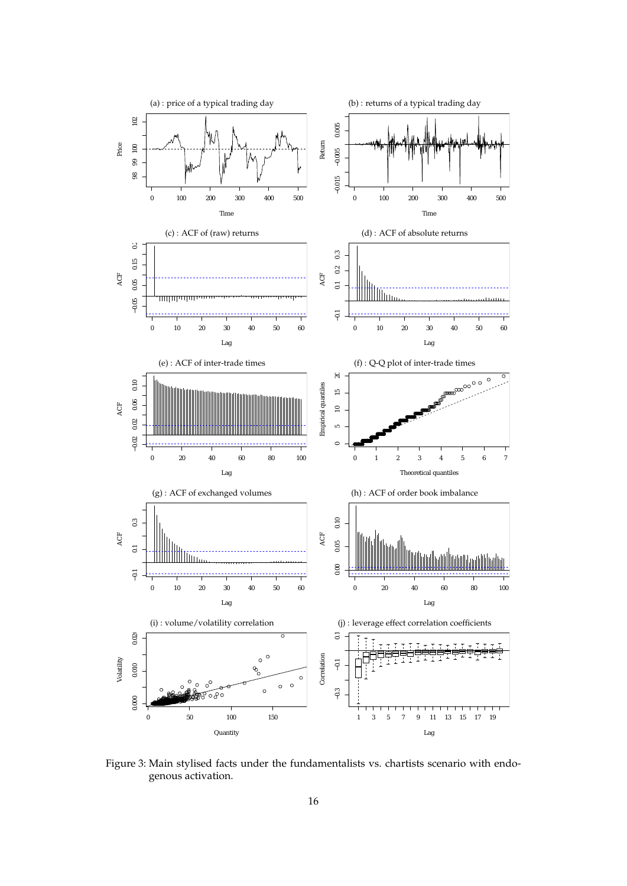

Figure 3: Main stylised facts under the fundamentalists vs. chartists scenario with endogenous activation.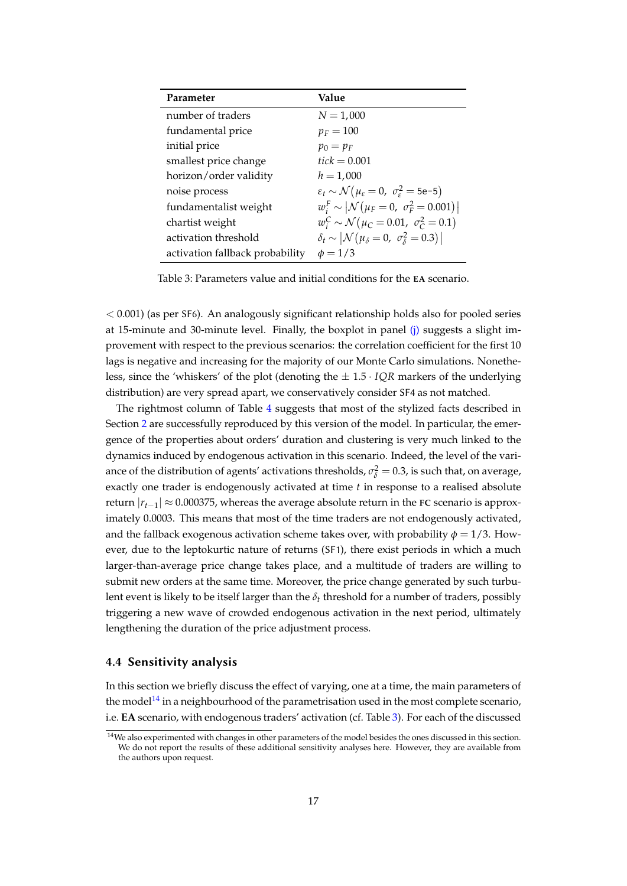| Parameter                       | Value                                                                                  |
|---------------------------------|----------------------------------------------------------------------------------------|
| number of traders               | $N = 1.000$                                                                            |
| fundamental price               | $p_F = 100$                                                                            |
| initial price                   | $p_0 = p_F$                                                                            |
| smallest price change           | $tick = 0.001$                                                                         |
| horizon/order validity          | $h = 1,000$                                                                            |
| noise process                   | $\varepsilon_t \sim \mathcal{N}(\mu_{\varepsilon} = 0, \sigma_{\varepsilon}^2 = 5e-5)$ |
| fundamentalist weight           | $w_i^F \sim  \mathcal{N}(\mu_F = 0, \sigma_F^2 = 0.001) $                              |
| chartist weight                 | $w_i^C \sim \mathcal{N}(\mu_C = 0.01, \sigma_C^2 = 0.1)$                               |
| activation threshold            | $\delta_t \sim  \mathcal{N}(\mu_{\delta} = 0, \sigma_{\delta}^2 = 0.3) $               |
| activation fallback probability | $\phi = 1/3$                                                                           |

Table 3: Parameters value and initial conditions for the **EA** scenario.

 $<$  0.001) (as per SF6). An analogously significant relationship holds also for pooled series at 15-minute and 30-minute level. Finally, the boxplot in panel (j) suggests a slight improvement with respect to the previous scenarios: the correlation coefficient for the first 10 lags is negative and increasing for the majority of our Monte Carlo simulations. Nonetheless, since the 'whiskers' of the plot (denoting the  $\pm$  1.5  $\cdot$  *IOR* markers of the underlying distribution) are very spread apart, we conservatively consider SF4 as not matched.

The rightmost column of Table 4 suggests that most of the stylized facts described in Section 2 are successfully reproduced by this version of the model. In particular, the emergence of the properties about orders' duration and clustering is very much linked to the dynamics induced by endogenous activation in this scenario. Indeed, the level of the variance of the distribution of agents' activations thresholds,  $\sigma_{\delta}^2 = 0.3$ , is such that, on average, exactly one trader is endogenously activated at time *t* in response to a realised absolute return  $|r_{t-1}| \approx 0.000375$ , whereas the average absolute return in the **FC** scenario is approximately 0.0003. This means that most of the time traders are not endogenously activated, and the fallback exogenous activation scheme takes over, with probability  $\phi = 1/3$ . However, due to the leptokurtic nature of returns (SF1), there exist periods in which a much larger-than-average price change takes place, and a multitude of traders are willing to submit new orders at the same time. Moreover, the price change generated by such turbulent event is likely to be itself larger than the  $\delta_t$  threshold for a number of traders, possibly triggering a new wave of crowded endogenous activation in the next period, ultimately lengthening the duration of the price adjustment process.

#### 4.4 Sensitivity analysis

In this section we briefly discuss the effect of varying, one at a time, the main parameters of the model<sup>14</sup> in a neighbourhood of the parametrisation used in the most complete scenario, i.e. **EA** scenario, with endogenous traders' activation (cf. Table 3). For each of the discussed

 $^{14}$  We also experimented with changes in other parameters of the model besides the ones discussed in this section. We do not report the results of these additional sensitivity analyses here. However, they are available from the authors upon request.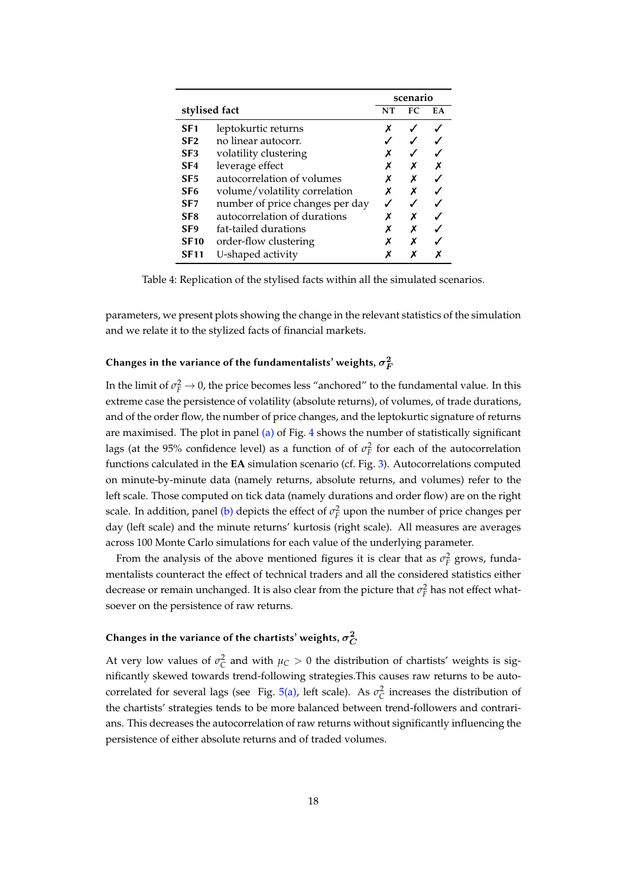|                 |                                 | scenario |    |    |
|-----------------|---------------------------------|----------|----|----|
| stylised fact   |                                 | NT       | FC | EA |
| SF <sub>1</sub> | leptokurtic returns             |          |    |    |
| SF2             | no linear autocorr.             |          |    |    |
| SF <sub>3</sub> | volatility clustering           | х        |    |    |
| SF <sub>4</sub> | leverage effect                 |          | х  |    |
| SF <sub>5</sub> | autocorrelation of volumes      | x        | х  |    |
| SF <sub>6</sub> | volume/volatility correlation   | х        | х  |    |
| SF7             | number of price changes per day |          |    |    |
| SF <sub>8</sub> | autocorrelation of durations    | х        | х  |    |
| SF9             | fat-tailed durations            | х        | х  |    |
| <b>SF10</b>     | order-flow clustering           | х        | x  |    |
| <b>SF11</b>     | U-shaped activity               |          | x  |    |

Table 4: Replication of the stylised facts within all the simulated scenarios.

parameters, we present plots showing the change in the relevant statistics of the simulation and we relate it to the stylized facts of financial markets.

## Changes in the variance of the fundamentalists' weights,  $\sigma_F^2$

In the limit of  $\sigma_F^2 \to 0$ , the price becomes less "anchored" to the fundamental value. In this extreme case the persistence of volatility (absolute returns), of volumes, of trade durations, and of the order flow, the number of price changes, and the leptokurtic signature of returns are maximised. The plot in panel (a) of Fig. 4 shows the number of statistically significant lags (at the 95% confidence level) as a function of of  $\sigma_F^2$  for each of the autocorrelation functions calculated in the **EA** simulation scenario (cf. Fig. 3). Autocorrelations computed on minute-by-minute data (namely returns, absolute returns, and volumes) refer to the left scale. Those computed on tick data (namely durations and order flow) are on the right scale. In addition, panel (b) depicts the effect of  $\sigma_F^2$  upon the number of price changes per day (left scale) and the minute returns' kurtosis (right scale). All measures are averages across 100 Monte Carlo simulations for each value of the underlying parameter.

From the analysis of the above mentioned figures it is clear that as  $\sigma_F^2$  grows, fundamentalists counteract the effect of technical traders and all the considered statistics either decrease or remain unchanged. It is also clear from the picture that  $\sigma_F^2$  has not effect whatsoever on the persistence of raw returns.

## Changes in the variance of the chartists' weights,  $\sigma_C^2$

At very low values of  $\sigma_C^2$  and with  $\mu_C > 0$  the distribution of chartists' weights is significantly skewed towards trend-following strategies.This causes raw returns to be autocorrelated for several lags (see Fig.  $5(a)$ , left scale). As  $\sigma_C^2$  increases the distribution of the chartists' strategies tends to be more balanced between trend-followers and contrarians. This decreases the autocorrelation of raw returns without significantly influencing the persistence of either absolute returns and of traded volumes.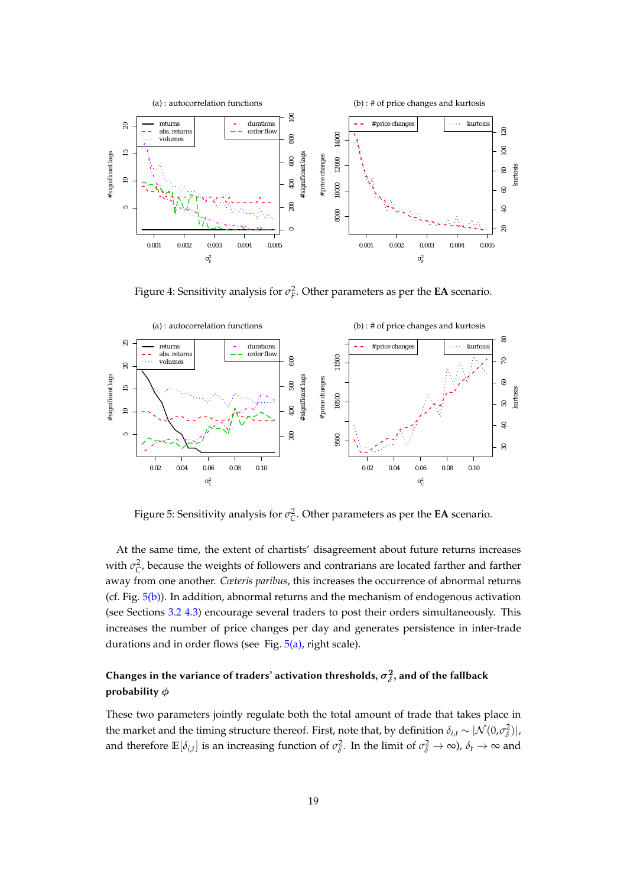

Figure 4: Sensitivity analysis for  $\sigma_F^2$ . Other parameters as per the **EA** scenario.



Figure 5: Sensitivity analysis for  $\sigma_C^2$ . Other parameters as per the **EA** scenario.

At the same time, the extent of chartists' disagreement about future returns increases with  $\sigma_C^2$ , because the weights of followers and contrarians are located farther and farther away from one another. *Cœteris paribus*, this increases the occurrence of abnormal returns (cf. Fig.  $5(b)$ ). In addition, abnormal returns and the mechanism of endogenous activation (see Sections 3.2 4.3) encourage several traders to post their orders simultaneously. This increases the number of price changes per day and generates persistence in inter-trade durations and in order flows (see Fig. 5(a), right scale).

#### Changes in the variance of traders' activation thresholds,  $\sigma_{\delta}^2$  $\frac{2}{\delta}$ , and of the fallback probability  $\phi$

These two parameters jointly regulate both the total amount of trade that takes place in the market and the timing structure thereof. First, note that, by definition  $\delta_{i,t} \sim |\mathcal{N}(0,\sigma_{\delta}^2)|$ , and therefore  $\mathbb{E}[\delta_{i,t}]$  is an increasing function of  $\sigma_{\delta}^2$ . In the limit of  $\sigma_{\delta}^2 \to \infty$ ),  $\delta_t \to \infty$  and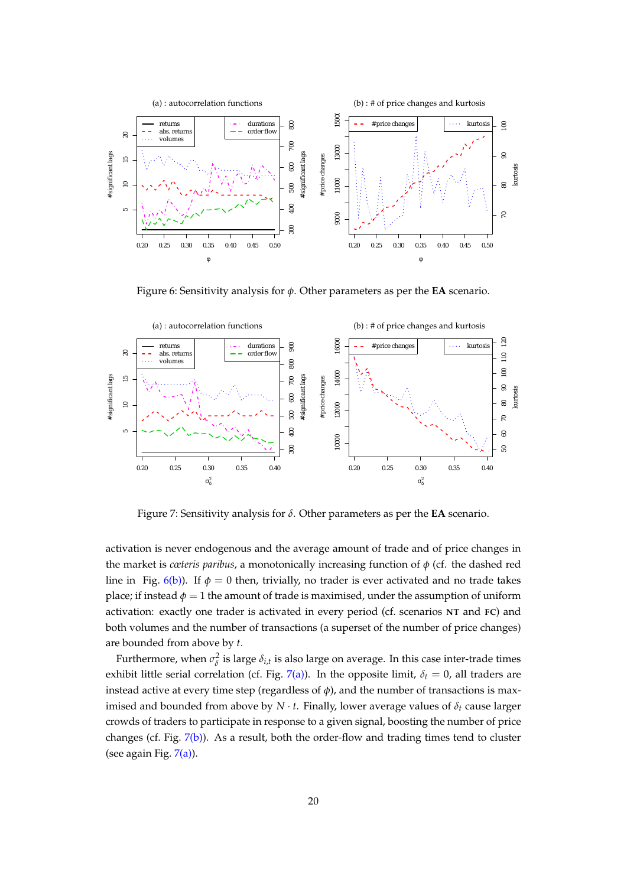

Figure 6: Sensitivity analysis for *φ*. Other parameters as per the **EA** scenario.



Figure 7: Sensitivity analysis for *δ*. Other parameters as per the **EA** scenario.

activation is never endogenous and the average amount of trade and of price changes in the market is *cœteris paribus*, a monotonically increasing function of *φ* (cf. the dashed red line in Fig.  $6(b)$ ). If  $\phi = 0$  then, trivially, no trader is ever activated and no trade takes place; if instead  $\phi = 1$  the amount of trade is maximised, under the assumption of uniform activation: exactly one trader is activated in every period (cf. scenarios **NT** and **FC**) and both volumes and the number of transactions (a superset of the number of price changes) are bounded from above by *t*.

Furthermore, when  $\sigma_{\delta}^2$  is large  $\delta_{i,t}$  is also large on average. In this case inter-trade times exhibit little serial correlation (cf. Fig. 7(a)). In the opposite limit,  $\delta_t = 0$ , all traders are instead active at every time step (regardless of  $\phi$ ), and the number of transactions is maximised and bounded from above by  $N \cdot t$ . Finally, lower average values of  $\delta_t$  cause larger crowds of traders to participate in response to a given signal, boosting the number of price changes (cf. Fig.  $7(b)$ ). As a result, both the order-flow and trading times tend to cluster (see again Fig.  $7(a)$ ).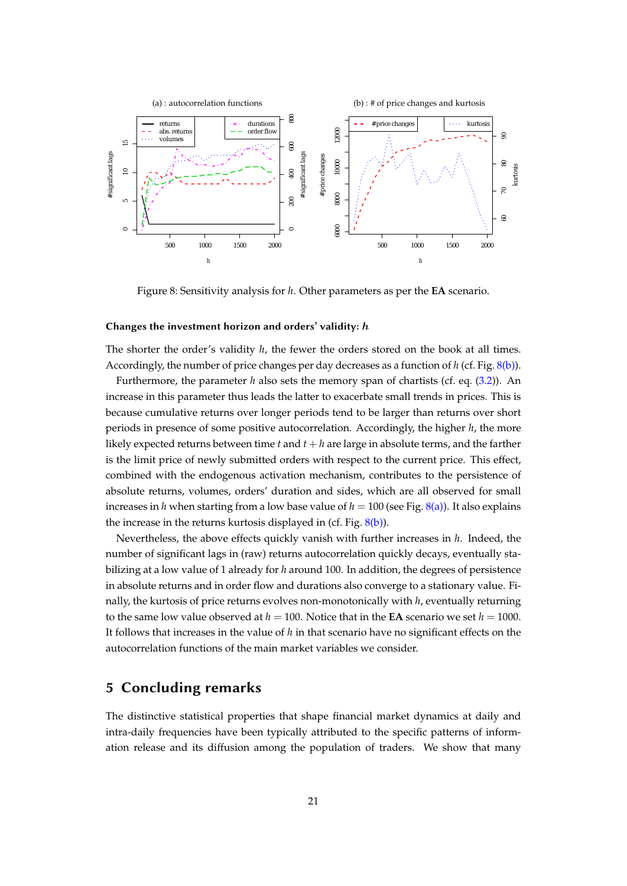

Figure 8: Sensitivity analysis for *h*. Other parameters as per the **EA** scenario.

#### Changes the investment horizon and orders' validity:  $h$

The shorter the order's validity *h*, the fewer the orders stored on the book at all times. Accordingly, the number of price changes per day decreases as a function of *h* (cf. Fig. 8(b)).

Furthermore, the parameter *h* also sets the memory span of chartists (cf. eq. (3.2)). An increase in this parameter thus leads the latter to exacerbate small trends in prices. This is because cumulative returns over longer periods tend to be larger than returns over short periods in presence of some positive autocorrelation. Accordingly, the higher *h*, the more likely expected returns between time *t* and *t* + *h* are large in absolute terms, and the farther is the limit price of newly submitted orders with respect to the current price. This effect, combined with the endogenous activation mechanism, contributes to the persistence of absolute returns, volumes, orders' duration and sides, which are all observed for small increases in *h* when starting from a low base value of  $h = 100$  (see Fig. 8(a)). It also explains the increase in the returns kurtosis displayed in (cf. Fig. 8(b)).

Nevertheless, the above effects quickly vanish with further increases in *h*. Indeed, the number of significant lags in (raw) returns autocorrelation quickly decays, eventually stabilizing at a low value of 1 already for *h* around 100. In addition, the degrees of persistence in absolute returns and in order flow and durations also converge to a stationary value. Finally, the kurtosis of price returns evolves non-monotonically with *h*, eventually returning to the same low value observed at  $h = 100$ . Notice that in the **EA** scenario we set  $h = 1000$ . It follows that increases in the value of *h* in that scenario have no significant effects on the autocorrelation functions of the main market variables we consider.

#### 5 Concluding remarks

The distinctive statistical properties that shape financial market dynamics at daily and intra-daily frequencies have been typically attributed to the specific patterns of information release and its diffusion among the population of traders. We show that many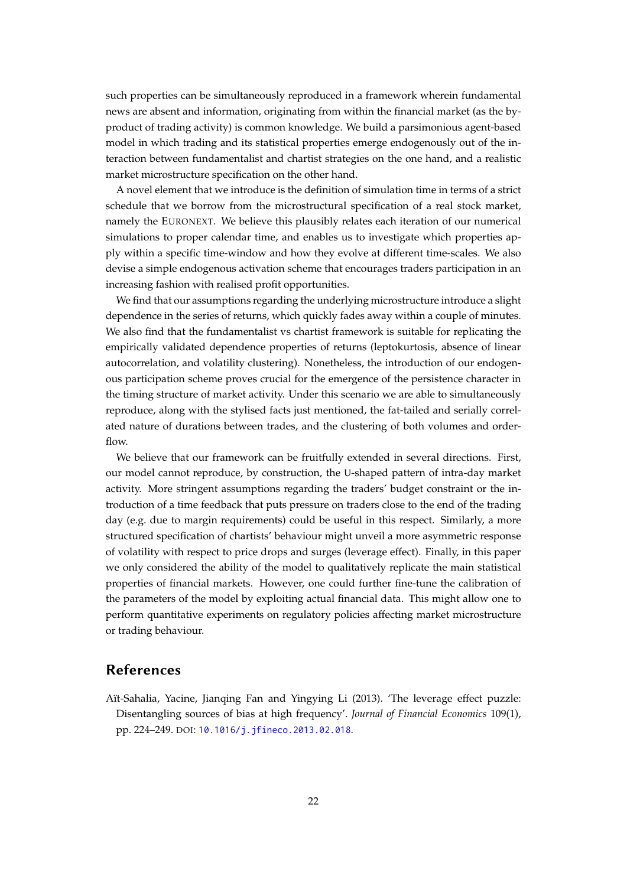such properties can be simultaneously reproduced in a framework wherein fundamental news are absent and information, originating from within the financial market (as the byproduct of trading activity) is common knowledge. We build a parsimonious agent-based model in which trading and its statistical properties emerge endogenously out of the interaction between fundamentalist and chartist strategies on the one hand, and a realistic market microstructure specification on the other hand.

A novel element that we introduce is the definition of simulation time in terms of a strict schedule that we borrow from the microstructural specification of a real stock market, namely the EURONEXT. We believe this plausibly relates each iteration of our numerical simulations to proper calendar time, and enables us to investigate which properties apply within a specific time-window and how they evolve at different time-scales. We also devise a simple endogenous activation scheme that encourages traders participation in an increasing fashion with realised profit opportunities.

We find that our assumptions regarding the underlying microstructure introduce a slight dependence in the series of returns, which quickly fades away within a couple of minutes. We also find that the fundamentalist vs chartist framework is suitable for replicating the empirically validated dependence properties of returns (leptokurtosis, absence of linear autocorrelation, and volatility clustering). Nonetheless, the introduction of our endogenous participation scheme proves crucial for the emergence of the persistence character in the timing structure of market activity. Under this scenario we are able to simultaneously reproduce, along with the stylised facts just mentioned, the fat-tailed and serially correlated nature of durations between trades, and the clustering of both volumes and orderflow.

We believe that our framework can be fruitfully extended in several directions. First, our model cannot reproduce, by construction, the U-shaped pattern of intra-day market activity. More stringent assumptions regarding the traders' budget constraint or the introduction of a time feedback that puts pressure on traders close to the end of the trading day (e.g. due to margin requirements) could be useful in this respect. Similarly, a more structured specification of chartists' behaviour might unveil a more asymmetric response of volatility with respect to price drops and surges (leverage effect). Finally, in this paper we only considered the ability of the model to qualitatively replicate the main statistical properties of financial markets. However, one could further fine-tune the calibration of the parameters of the model by exploiting actual financial data. This might allow one to perform quantitative experiments on regulatory policies affecting market microstructure or trading behaviour.

#### References

Aït-Sahalia, Yacine, Jianqing Fan and Yingying Li (2013). 'The leverage effect puzzle: Disentangling sources of bias at high frequency'. *Journal of Financial Economics* 109(1), pp. 224–249. DOI: [10.1016/j.jfineco.2013.02.018](https://doi.org/10.1016/j.jfineco.2013.02.018).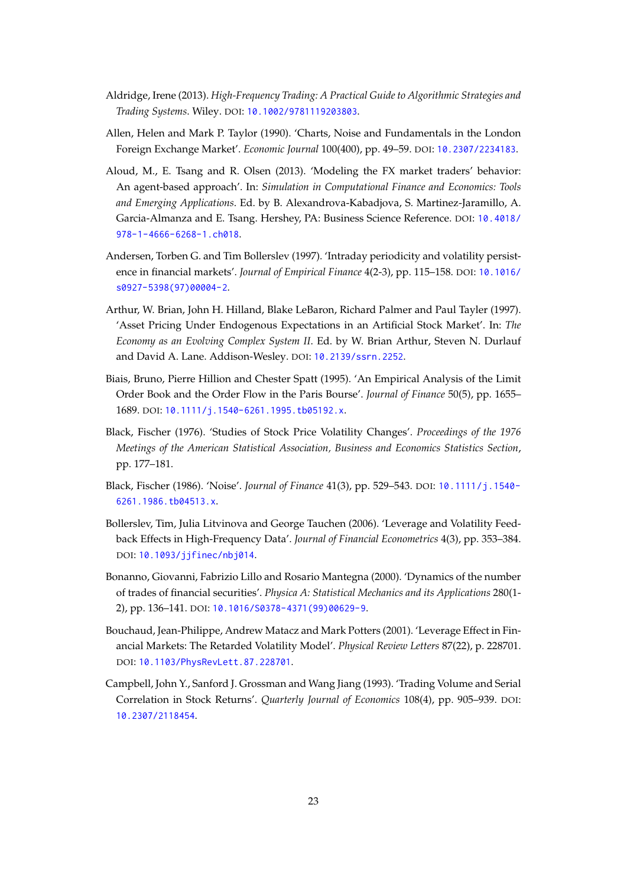- Aldridge, Irene (2013). *High-Frequency Trading: A Practical Guide to Algorithmic Strategies and Trading Systems*. Wiley. DOI: [10.1002/9781119203803](https://doi.org/10.1002/9781119203803).
- Allen, Helen and Mark P. Taylor (1990). 'Charts, Noise and Fundamentals in the London Foreign Exchange Market'. *Economic Journal* 100(400), pp. 49–59. DOI: [10.2307/2234183](https://doi.org/10.2307/2234183).
- Aloud, M., E. Tsang and R. Olsen (2013). 'Modeling the FX market traders' behavior: An agent-based approach'. In: *Simulation in Computational Finance and Economics: Tools and Emerging Applications*. Ed. by B. Alexandrova-Kabadjova, S. Martinez-Jaramillo, A. Garcia-Almanza and E. Tsang. Hershey, PA: Business Science Reference. DOI: [10.4018/](https://doi.org/10.4018/978-1-4666-6268-1.ch018) [978-1-4666-6268-1.ch018](https://doi.org/10.4018/978-1-4666-6268-1.ch018).
- Andersen, Torben G. and Tim Bollerslev (1997). 'Intraday periodicity and volatility persistence in financial markets'. *Journal of Empirical Finance* 4(2-3), pp. 115–158. DOI: [10.1016/](https://doi.org/10.1016/s0927-5398(97)00004-2) [s0927-5398\(97\)00004-2](https://doi.org/10.1016/s0927-5398(97)00004-2).
- Arthur, W. Brian, John H. Hilland, Blake LeBaron, Richard Palmer and Paul Tayler (1997). 'Asset Pricing Under Endogenous Expectations in an Artificial Stock Market'. In: *The Economy as an Evolving Complex System II*. Ed. by W. Brian Arthur, Steven N. Durlauf and David A. Lane. Addison-Wesley. DOI: [10.2139/ssrn.2252](https://doi.org/10.2139/ssrn.2252).
- Biais, Bruno, Pierre Hillion and Chester Spatt (1995). 'An Empirical Analysis of the Limit Order Book and the Order Flow in the Paris Bourse'. *Journal of Finance* 50(5), pp. 1655– 1689. DOI: [10.1111/j.1540-6261.1995.tb05192.x](https://doi.org/10.1111/j.1540-6261.1995.tb05192.x).
- Black, Fischer (1976). 'Studies of Stock Price Volatility Changes'. *Proceedings of the 1976 Meetings of the American Statistical Association, Business and Economics Statistics Section*, pp. 177–181.
- Black, Fischer (1986). 'Noise'. *Journal of Finance* 41(3), pp. 529–543. DOI: [10.1111/j.1540-](https://doi.org/10.1111/j.1540-6261.1986.tb04513.x) [6261.1986.tb04513.x](https://doi.org/10.1111/j.1540-6261.1986.tb04513.x).
- Bollerslev, Tim, Julia Litvinova and George Tauchen (2006). 'Leverage and Volatility Feedback Effects in High-Frequency Data'. *Journal of Financial Econometrics* 4(3), pp. 353–384. DOI: [10.1093/jjfinec/nbj014](https://doi.org/10.1093/jjfinec/nbj014).
- Bonanno, Giovanni, Fabrizio Lillo and Rosario Mantegna (2000). 'Dynamics of the number of trades of financial securities'. *Physica A: Statistical Mechanics and its Applications* 280(1- 2), pp. 136–141. DOI: [10.1016/S0378-4371\(99\)00629-9](https://doi.org/10.1016/S0378-4371(99)00629-9).
- Bouchaud, Jean-Philippe, Andrew Matacz and Mark Potters (2001). 'Leverage Effect in Financial Markets: The Retarded Volatility Model'. *Physical Review Letters* 87(22), p. 228701. DOI: [10.1103/PhysRevLett.87.228701](https://doi.org/10.1103/PhysRevLett.87.228701).
- Campbell, John Y., Sanford J. Grossman and Wang Jiang (1993). 'Trading Volume and Serial Correlation in Stock Returns'. *Quarterly Journal of Economics* 108(4), pp. 905–939. DOI: [10.2307/2118454](https://doi.org/10.2307/2118454).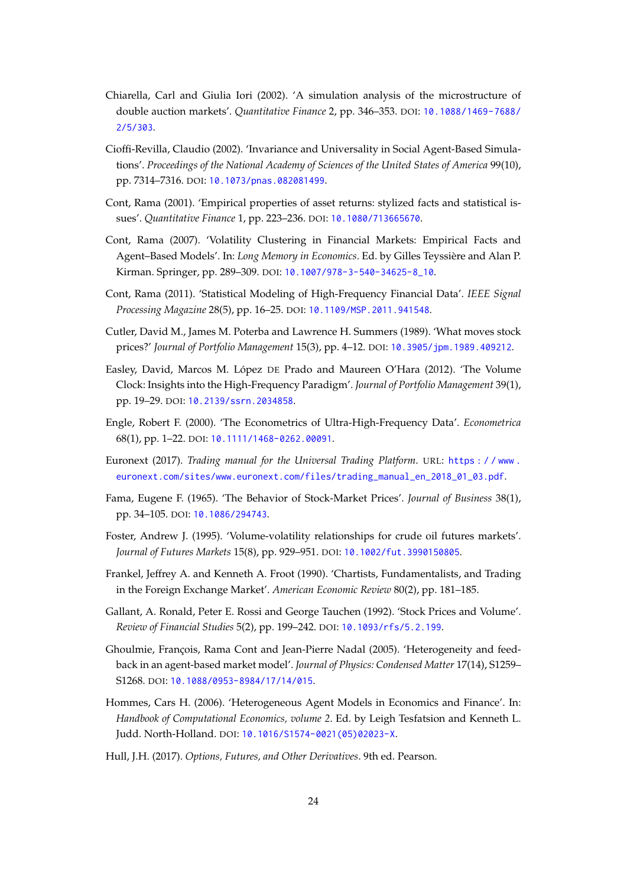- Chiarella, Carl and Giulia Iori (2002). 'A simulation analysis of the microstructure of double auction markets'. *Quantitative Finance* 2, pp. 346–353. DOI: [10.1088/1469-7688/](https://doi.org/10.1088/1469-7688/2/5/303) [2/5/303](https://doi.org/10.1088/1469-7688/2/5/303).
- Cioffi-Revilla, Claudio (2002). 'Invariance and Universality in Social Agent-Based Simulations'. *Proceedings of the National Academy of Sciences of the United States of America* 99(10), pp. 7314–7316. DOI: [10.1073/pnas.082081499](https://doi.org/10.1073/pnas.082081499).
- Cont, Rama (2001). 'Empirical properties of asset returns: stylized facts and statistical issues'. *Quantitative Finance* 1, pp. 223–236. DOI: [10.1080/713665670](https://doi.org/10.1080/713665670).
- Cont, Rama (2007). 'Volatility Clustering in Financial Markets: Empirical Facts and Agent–Based Models'. In: *Long Memory in Economics*. Ed. by Gilles Teyssière and Alan P. Kirman. Springer, pp. 289–309. DOI: [10.1007/978-3-540-34625-8\\_10](https://doi.org/10.1007/978-3-540-34625-8_10).
- Cont, Rama (2011). 'Statistical Modeling of High-Frequency Financial Data'. *IEEE Signal Processing Magazine* 28(5), pp. 16–25. DOI: [10.1109/MSP.2011.941548](https://doi.org/10.1109/MSP.2011.941548).
- Cutler, David M., James M. Poterba and Lawrence H. Summers (1989). 'What moves stock prices?' *Journal of Portfolio Management* 15(3), pp. 4–12. DOI: [10.3905/jpm.1989.409212](https://doi.org/10.3905/jpm.1989.409212).
- Easley, David, Marcos M. López DE Prado and Maureen O'Hara (2012). 'The Volume Clock: Insights into the High-Frequency Paradigm'. *Journal of Portfolio Management* 39(1), pp. 19–29. DOI: [10.2139/ssrn.2034858](https://doi.org/10.2139/ssrn.2034858).
- Engle, Robert F. (2000). 'The Econometrics of Ultra-High-Frequency Data'. *Econometrica* 68(1), pp. 1–22. DOI: [10.1111/1468-0262.00091](https://doi.org/10.1111/1468-0262.00091).
- Euronext (2017). *Trading manual for the Universal Trading Platform*. URL: [https : / / www .](https://www.euronext.com/sites/www.euronext.com/files/trading_manual_en_2018_01_03.pdf) [euronext.com/sites/www.euronext.com/files/trading\\_manual\\_en\\_2018\\_01\\_03.pdf](https://www.euronext.com/sites/www.euronext.com/files/trading_manual_en_2018_01_03.pdf).
- Fama, Eugene F. (1965). 'The Behavior of Stock-Market Prices'. *Journal of Business* 38(1), pp. 34–105. DOI: [10.1086/294743](https://doi.org/10.1086/294743).
- Foster, Andrew J. (1995). 'Volume-volatility relationships for crude oil futures markets'. *Journal of Futures Markets* 15(8), pp. 929–951. DOI: [10.1002/fut.3990150805](https://doi.org/10.1002/fut.3990150805).
- Frankel, Jeffrey A. and Kenneth A. Froot (1990). 'Chartists, Fundamentalists, and Trading in the Foreign Exchange Market'. *American Economic Review* 80(2), pp. 181–185.
- Gallant, A. Ronald, Peter E. Rossi and George Tauchen (1992). 'Stock Prices and Volume'. *Review of Financial Studies* 5(2), pp. 199–242. DOI: [10.1093/rfs/5.2.199](https://doi.org/10.1093/rfs/5.2.199).
- Ghoulmie, François, Rama Cont and Jean-Pierre Nadal (2005). 'Heterogeneity and feedback in an agent-based market model'. *Journal of Physics: Condensed Matter* 17(14), S1259– S1268. DOI: [10.1088/0953-8984/17/14/015](https://doi.org/10.1088/0953-8984/17/14/015).
- Hommes, Cars H. (2006). 'Heterogeneous Agent Models in Economics and Finance'. In: *Handbook of Computational Economics, volume 2*. Ed. by Leigh Tesfatsion and Kenneth L. Judd. North-Holland. DOI: [10.1016/S1574-0021\(05\)02023-X](https://doi.org/10.1016/S1574-0021(05)02023-X).
- Hull, J.H. (2017). *Options, Futures, and Other Derivatives*. 9th ed. Pearson.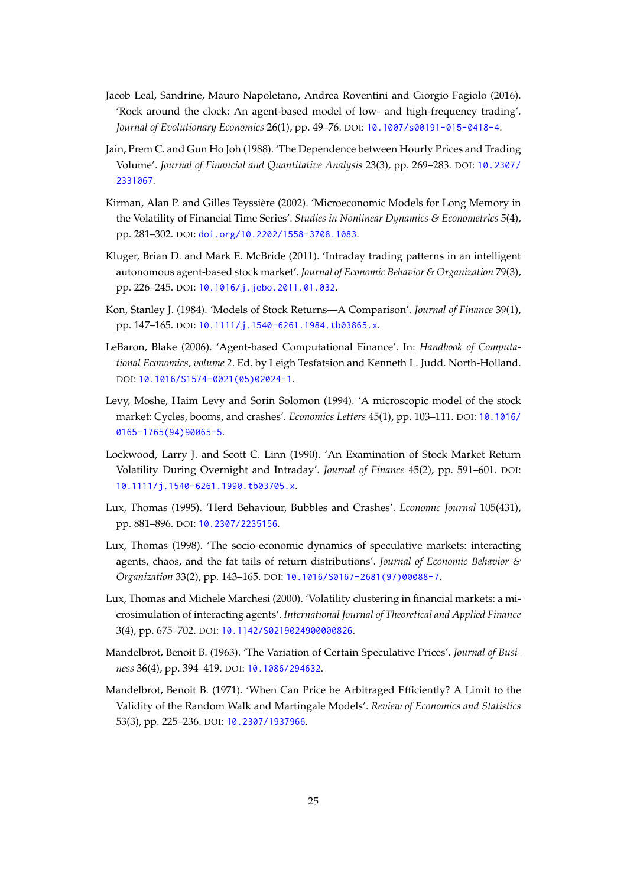- Jacob Leal, Sandrine, Mauro Napoletano, Andrea Roventini and Giorgio Fagiolo (2016). 'Rock around the clock: An agent-based model of low- and high-frequency trading'. *Journal of Evolutionary Economics* 26(1), pp. 49–76. DOI: [10.1007/s00191-015-0418-4](https://doi.org/10.1007/s00191-015-0418-4).
- Jain, Prem C. and Gun Ho Joh (1988). 'The Dependence between Hourly Prices and Trading Volume'. *Journal of Financial and Quantitative Analysis* 23(3), pp. 269–283. DOI: [10.2307/](https://doi.org/10.2307/2331067) [2331067](https://doi.org/10.2307/2331067).
- Kirman, Alan P. and Gilles Teyssière (2002). 'Microeconomic Models for Long Memory in the Volatility of Financial Time Series'. *Studies in Nonlinear Dynamics & Econometrics* 5(4), pp. 281–302. DOI: [doi.org/10.2202/1558-3708.1083](https://doi.org/doi.org/10.2202/1558-3708.1083).
- Kluger, Brian D. and Mark E. McBride (2011). 'Intraday trading patterns in an intelligent autonomous agent-based stock market'. *Journal of Economic Behavior & Organization* 79(3), pp. 226–245. DOI: [10.1016/j.jebo.2011.01.032](https://doi.org/10.1016/j.jebo.2011.01.032).
- Kon, Stanley J. (1984). 'Models of Stock Returns—A Comparison'. *Journal of Finance* 39(1), pp. 147–165. DOI: [10.1111/j.1540-6261.1984.tb03865.x](https://doi.org/10.1111/j.1540-6261.1984.tb03865.x).
- LeBaron, Blake (2006). 'Agent-based Computational Finance'. In: *Handbook of Computational Economics, volume 2*. Ed. by Leigh Tesfatsion and Kenneth L. Judd. North-Holland. DOI: [10.1016/S1574-0021\(05\)02024-1](https://doi.org/10.1016/S1574-0021(05)02024-1).
- Levy, Moshe, Haim Levy and Sorin Solomon (1994). 'A microscopic model of the stock market: Cycles, booms, and crashes'. *Economics Letters* 45(1), pp. 103–111. DOI: [10.1016/](https://doi.org/10.1016/0165-1765(94)90065-5) [0165-1765\(94\)90065-5](https://doi.org/10.1016/0165-1765(94)90065-5).
- Lockwood, Larry J. and Scott C. Linn (1990). 'An Examination of Stock Market Return Volatility During Overnight and Intraday'. *Journal of Finance* 45(2), pp. 591–601. DOI: [10.1111/j.1540-6261.1990.tb03705.x](https://doi.org/10.1111/j.1540-6261.1990.tb03705.x).
- Lux, Thomas (1995). 'Herd Behaviour, Bubbles and Crashes'. *Economic Journal* 105(431), pp. 881–896. DOI: [10.2307/2235156](https://doi.org/10.2307/2235156).
- Lux, Thomas (1998). 'The socio-economic dynamics of speculative markets: interacting agents, chaos, and the fat tails of return distributions'. *Journal of Economic Behavior & Organization* 33(2), pp. 143–165. DOI: [10.1016/S0167-2681\(97\)00088-7](https://doi.org/10.1016/S0167-2681(97)00088-7).
- Lux, Thomas and Michele Marchesi (2000). 'Volatility clustering in financial markets: a microsimulation of interacting agents'. *International Journal of Theoretical and Applied Finance* 3(4), pp. 675–702. DOI: [10.1142/S0219024900000826](https://doi.org/10.1142/S0219024900000826).
- Mandelbrot, Benoit B. (1963). 'The Variation of Certain Speculative Prices'. *Journal of Business* 36(4), pp. 394–419. DOI: [10.1086/294632](https://doi.org/10.1086/294632).
- Mandelbrot, Benoit B. (1971). 'When Can Price be Arbitraged Efficiently? A Limit to the Validity of the Random Walk and Martingale Models'. *Review of Economics and Statistics* 53(3), pp. 225–236. DOI: [10.2307/1937966](https://doi.org/10.2307/1937966).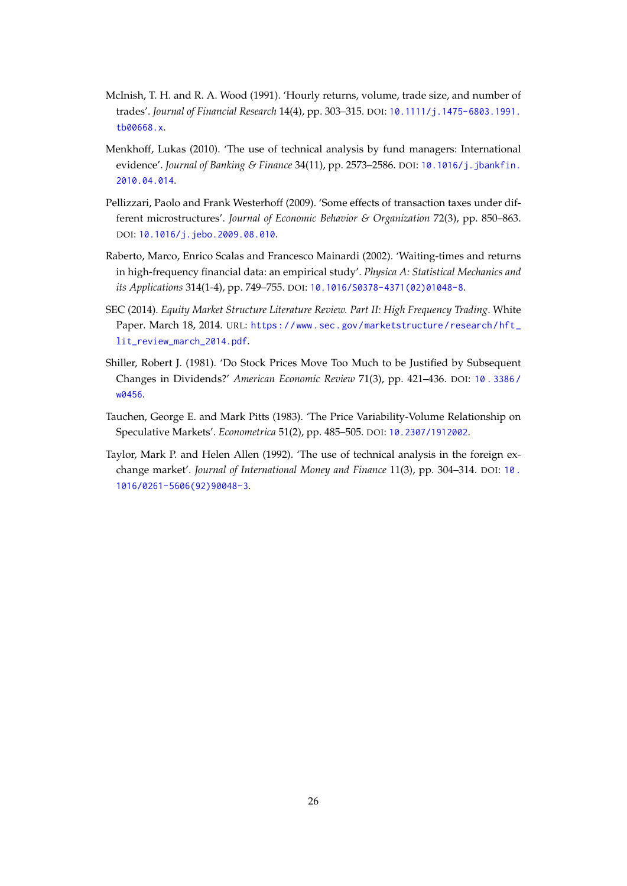- McInish, T. H. and R. A. Wood (1991). 'Hourly returns, volume, trade size, and number of trades'. *Journal of Financial Research* 14(4), pp. 303–315. DOI: [10.1111/j.1475-6803.1991.](https://doi.org/10.1111/j.1475-6803.1991.tb00668.x) [tb00668.x](https://doi.org/10.1111/j.1475-6803.1991.tb00668.x).
- Menkhoff, Lukas (2010). 'The use of technical analysis by fund managers: International evidence'. *Journal of Banking & Finance* 34(11), pp. 2573–2586. DOI: [10.1016/j.jbankfin.](https://doi.org/10.1016/j.jbankfin.2010.04.014) [2010.04.014](https://doi.org/10.1016/j.jbankfin.2010.04.014).
- Pellizzari, Paolo and Frank Westerhoff (2009). 'Some effects of transaction taxes under different microstructures'. *Journal of Economic Behavior & Organization* 72(3), pp. 850–863. DOI: [10.1016/j.jebo.2009.08.010](https://doi.org/10.1016/j.jebo.2009.08.010).
- Raberto, Marco, Enrico Scalas and Francesco Mainardi (2002). 'Waiting-times and returns in high-frequency financial data: an empirical study'. *Physica A: Statistical Mechanics and its Applications* 314(1-4), pp. 749–755. DOI: [10.1016/S0378-4371\(02\)01048-8](https://doi.org/10.1016/S0378-4371(02)01048-8).
- SEC (2014). *Equity Market Structure Literature Review. Part II: High Frequency Trading*. White Paper. March 18, 2014. URL: [https://www.sec.gov/marketstructure/research/hft\\_](https://www.sec.gov/marketstructure/research/hft_lit_review_march_2014.pdf) [lit\\_review\\_march\\_2014.pdf](https://www.sec.gov/marketstructure/research/hft_lit_review_march_2014.pdf).
- Shiller, Robert J. (1981). 'Do Stock Prices Move Too Much to be Justified by Subsequent Changes in Dividends?' *American Economic Review* 71(3), pp. 421–436. DOI: [10 . 3386 /](https://doi.org/10.3386/w0456) [w0456](https://doi.org/10.3386/w0456).
- Tauchen, George E. and Mark Pitts (1983). 'The Price Variability-Volume Relationship on Speculative Markets'. *Econometrica* 51(2), pp. 485–505. DOI: [10.2307/1912002](https://doi.org/10.2307/1912002).
- Taylor, Mark P. and Helen Allen (1992). 'The use of technical analysis in the foreign exchange market'. *Journal of International Money and Finance* 11(3), pp. 304–314. DOI: [10 .](https://doi.org/10.1016/0261-5606(92)90048-3) [1016/0261-5606\(92\)90048-3](https://doi.org/10.1016/0261-5606(92)90048-3).